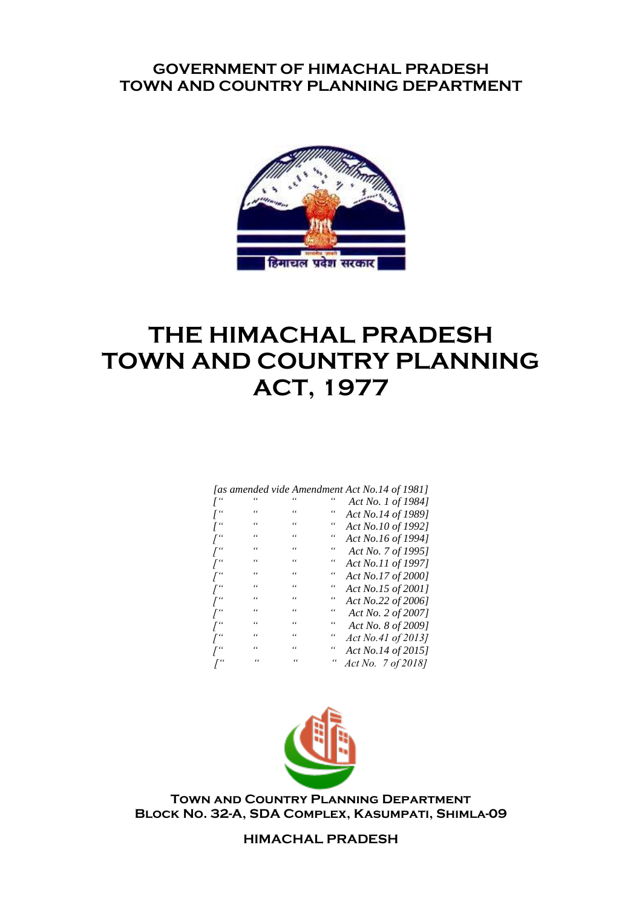# **GOVERNMENT OF HIMACHAL PRADESH TOWN AND COUNTRY PLANNING DEPARTMENT**



# **THE HIMACHAL PRADESH TOWN AND COUNTRY PLANNING ACT, 1977**

|                     |    |   |            | [as amended vide Amendment Act No.14 of 1981] |
|---------------------|----|---|------------|-----------------------------------------------|
|                     |    |   |            | Act No. 1 of 1984]                            |
| $I^{\prime\prime}$  | "  | " |            | Act No.14 of 1989]                            |
| $\int_0^{\epsilon}$ | "  | " | "          | Act No.10 of 1992]                            |
| $\int_0^{\epsilon}$ | "  | " | "          | Act No.16 of 1994]                            |
| $\int_0^\alpha$     | "  | " | "          | Act No. 7 of 1995]                            |
| $\int_0^{\epsilon}$ | "  | " | "          | Act No.11 of 1997]                            |
| $\int_0^\alpha$     | "  | " | "          | Act No.17 of 2000]                            |
| $\int_0^\epsilon$   | "  | " | "          | Act No.15 of 2001]                            |
| $\int_0^\alpha$     | "  | " | "          | Act No.22 of 2006]                            |
| $\int_0^\alpha$     | "  | " | "          | Act No. 2 of 2007]                            |
| $\int_0^\alpha$     | "  | " |            | Act No. 8 of 2009]                            |
| $\int_0^\alpha$     | "  | " | "          | Act No.41 of 2013]                            |
| $\int_0^\alpha$     | 66 | " | "          | Act No.14 of 2015]                            |
|                     | "  | " | $\epsilon$ | Act No. 7 of 2018]                            |



**Town and Country Planning Department Block No. 32-A, SDA Complex, Kasumpati, Shimla-09**

## **HIMACHAL PRADESH**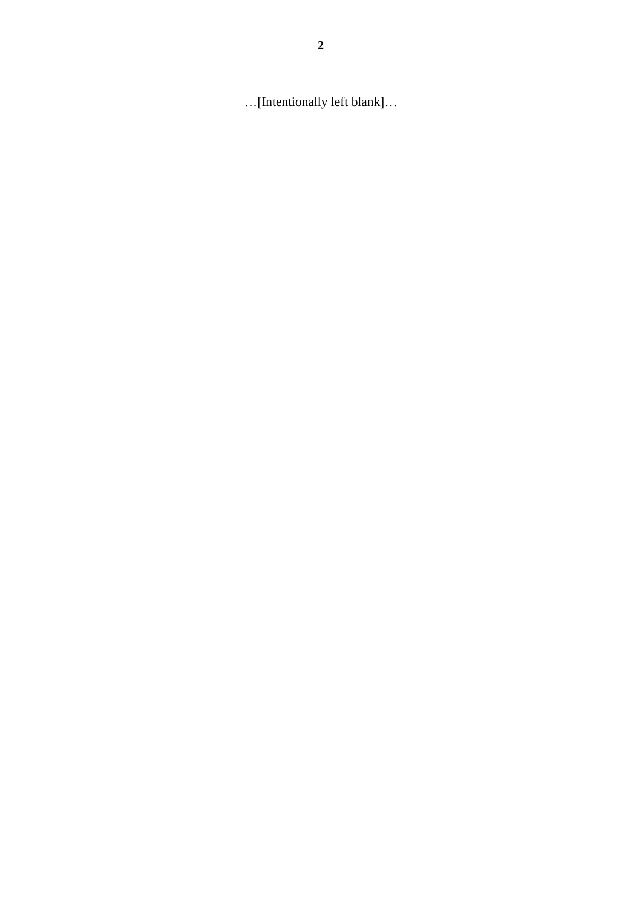…[Intentionally left blank]…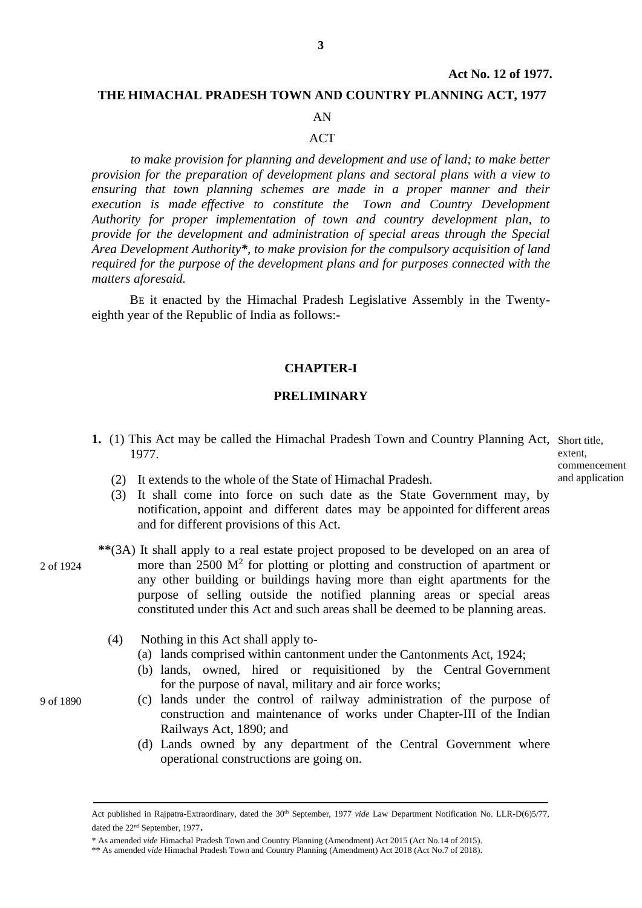### **THE HIMACHAL PRADESH TOWN AND COUNTRY PLANNING ACT, 1977**

### AN

### **ACT**

*to make provision for planning and development and use of land; to make better provision for the preparation of development plans and sectoral plans with a view to ensuring that town planning schemes are made in a proper manner and their execution is made effective to constitute the Town and Country Development Authority for proper implementation of town and country development plan, to provide for the development and administration of special areas through the Special Area Development Authority\*, to make provision for the compulsory acquisition of land required for the purpose of the development plans and for purposes connected with the matters aforesaid.*

BE it enacted by the Himachal Pradesh Legislative Assembly in the Twentyeighth year of the Republic of India as follows:-

### **CHAPTER-I**

### **PRELIMINARY**

1. (1) This Act may be called the Himachal Pradesh Town and Country Planning Act, Short title, 1977.

extent, commencement and application

- (2) It extends to the whole of the State of Himachal Pradesh.
- (3) It shall come into force on such date as the State Government may, by notification, appoint and different dates may be appointed for different areas and for different provisions of this Act.
- **\*\***(3A) It shall apply to a real estate project proposed to be developed on an area of more than  $2500 \text{ M}^2$  for plotting or plotting and construction of apartment or any other building or buildings having more than eight apartments for the purpose of selling outside the notified planning areas or special areas constituted under this Act and such areas shall be deemed to be planning areas.
	- (4) Nothing in this Act shall apply to-
		- (a) lands comprised within cantonment under the Cantonments Act, 1924;
		- (b) lands, owned, hired or requisitioned by the Central Government for the purpose of naval, military and air force works;
		- (c) lands under the control of railway administration of the purpose of construction and maintenance of works under Chapter-III of the Indian Railways Act, 1890; and
		- (d) Lands owned by any department of the Central Government where operational constructions are going on.

2 of 1924

9 of 1890

Act published in Rajpatra-Extraordinary, dated the 30<sup>th</sup> September, 1977 *vide* Law Department Notification No. LLR-D(6)5/77, dated the 22<sup>nd</sup> September, 1977.

<sup>\*</sup> As amended *vide* Himachal Pradesh Town and Country Planning (Amendment) Act 2015 (Act No.14 of 2015).

<sup>\*\*</sup> As amended *vide* Himachal Pradesh Town and Country Planning (Amendment) Act 2018 (Act No.7 of 2018).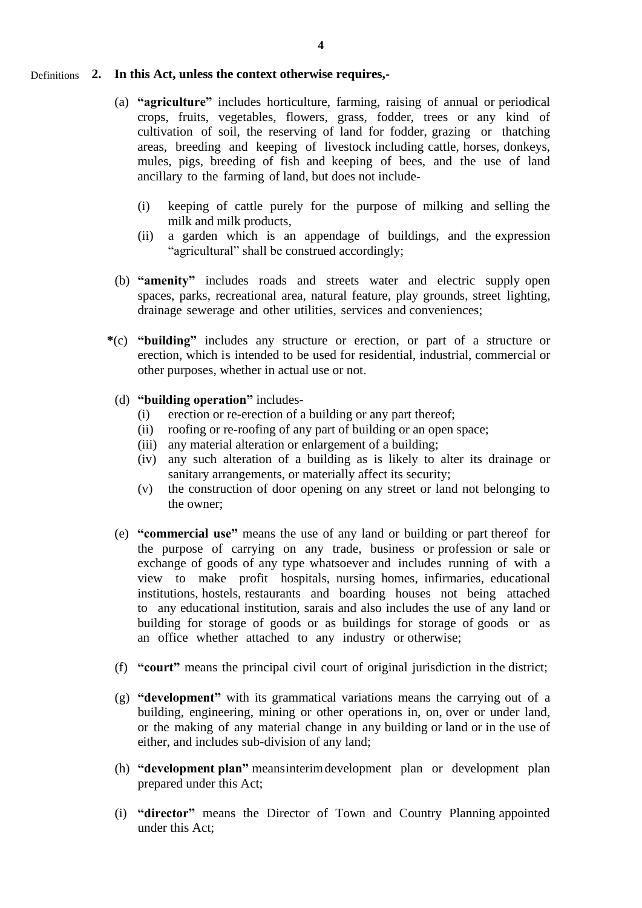### **2. In this Act, unless the context otherwise requires,-** Definitions

- (a) **"agriculture"** includes horticulture, farming, raising of annual or periodical crops, fruits, vegetables, flowers, grass, fodder, trees or any kind of cultivation of soil, the reserving of land for fodder, grazing or thatching areas, breeding and keeping of livestock including cattle, horses, donkeys, mules, pigs, breeding of fish and keeping of bees, and the use of land ancillary to the farming of land, but does not include-
	- (i) keeping of cattle purely for the purpose of milking and selling the milk and milk products,
	- (ii) a garden which is an appendage of buildings, and the expression "agricultural" shall be construed accordingly;
- (b) **"amenity"** includes roads and streets water and electric supply open spaces, parks, recreational area, natural feature, play grounds, street lighting, drainage sewerage and other utilities, services and conveniences;
- **\***(c) **"building"** includes any structure or erection, or part of a structure or erection, which is intended to be used for residential, industrial, commercial or other purposes, whether in actual use or not.
	- (d) **"building operation"** includes-
		- (i) erection or re-erection of a building or any part thereof;
		- (ii) roofing or re-roofing of any part of building or an open space;
		- (iii) any material alteration or enlargement of a building;
		- (iv) any such alteration of a building as is likely to alter its drainage or sanitary arrangements, or materially affect its security;
		- (v) the construction of door opening on any street or land not belonging to the owner;
	- (e) **"commercial use"** means the use of any land or building or part thereof for the purpose of carrying on any trade, business or profession or sale or exchange of goods of any type whatsoever and includes running of with a view to make profit hospitals, nursing homes, infirmaries, educational institutions, hostels, restaurants and boarding houses not being attached to any educational institution, sarais and also includes the use of any land or building for storage of goods or as buildings for storage of goods or as an office whether attached to any industry or otherwise;
	- (f) **"court"** means the principal civil court of original jurisdiction in the district;
	- (g) **"development"** with its grammatical variations means the carrying out of a building, engineering, mining or other operations in, on, over or under land, or the making of any material change in any building or land or in the use of either, and includes sub-division of any land;
	- (h) **"development plan"** meansinterimdevelopment plan or development plan prepared under this Act;
	- (i) **"director"** means the Director of Town and Country Planning appointed under this Act;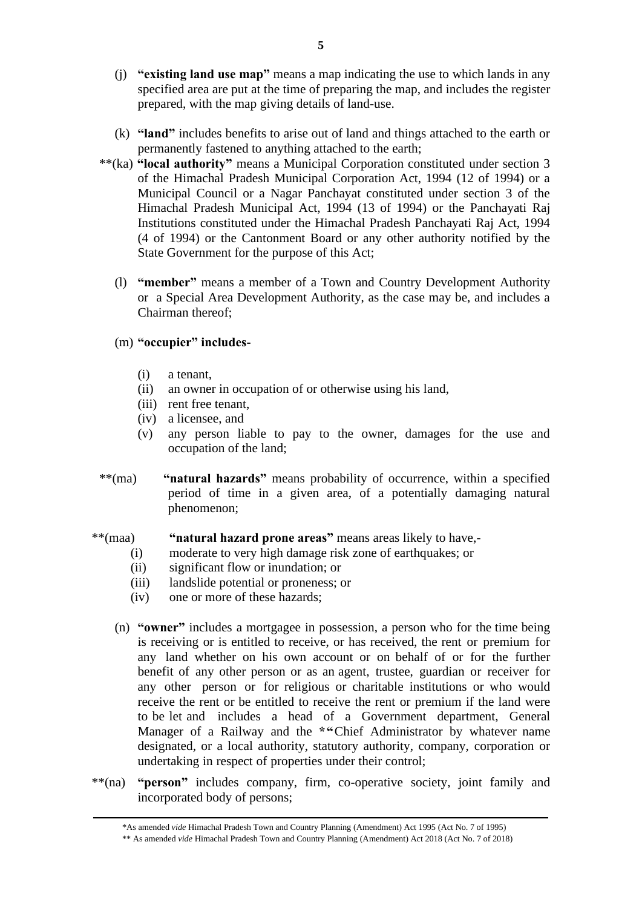- (j) **"existing land use map"** means a map indicating the use to which lands in any specified area are put at the time of preparing the map, and includes the register prepared, with the map giving details of land-use.
- (k) **"land"** includes benefits to arise out of land and things attached to the earth or permanently fastened to anything attached to the earth;
- \*\*(ka) **"local authority"** means a Municipal Corporation constituted under section 3 of the Himachal Pradesh Municipal Corporation Act, 1994 (12 of 1994) or a Municipal Council or a Nagar Panchayat constituted under section 3 of the Himachal Pradesh Municipal Act, 1994 (13 of 1994) or the Panchayati Raj Institutions constituted under the Himachal Pradesh Panchayati Raj Act, 1994 (4 of 1994) or the Cantonment Board or any other authority notified by the State Government for the purpose of this Act;
	- (l) **"member"** means a member of a Town and Country Development Authority or a Special Area Development Authority, as the case may be, and includes a Chairman thereof;

### (m) **"occupier" includes-**

(i) a tenant,

l.

- (ii) an owner in occupation of or otherwise using his land,
- (iii) rent free tenant,
- (iv) a licensee, and
- (v) any person liable to pay to the owner, damages for the use and occupation of the land;
- \*\*(ma) **"natural hazards"** means probability of occurrence, within a specified period of time in a given area, of a potentially damaging natural phenomenon;

### \*\*(maa) **"natural hazard prone areas"** means areas likely to have,-

- (i) moderate to very high damage risk zone of earthquakes; or
- (ii) significant flow or inundation; or
- (iii) landslide potential or proneness; or
- (iv) one or more of these hazards;
- (n) **"owner"** includes a mortgagee in possession, a person who for the time being is receiving or is entitled to receive, or has received, the rent or premium for any land whether on his own account or on behalf of or for the further benefit of any other person or as an agent, trustee, guardian or receiver for any other person or for religious or charitable institutions or who would receive the rent or be entitled to receive the rent or premium if the land were to be let and includes a head of a Government department, General Manager of a Railway and the **\*"**Chief Administrator by whatever name designated, or a local authority, statutory authority, company, corporation or undertaking in respect of properties under their control;
- \*\*(na) **"person"** includes company, firm, co-operative society, joint family and incorporated body of persons;

<sup>\*</sup>As amended *vide* Himachal Pradesh Town and Country Planning (Amendment) Act 1995 (Act No. 7 of 1995)

<sup>\*\*</sup> As amended *vide* Himachal Pradesh Town and Country Planning (Amendment) Act 2018 (Act No. 7 of 2018)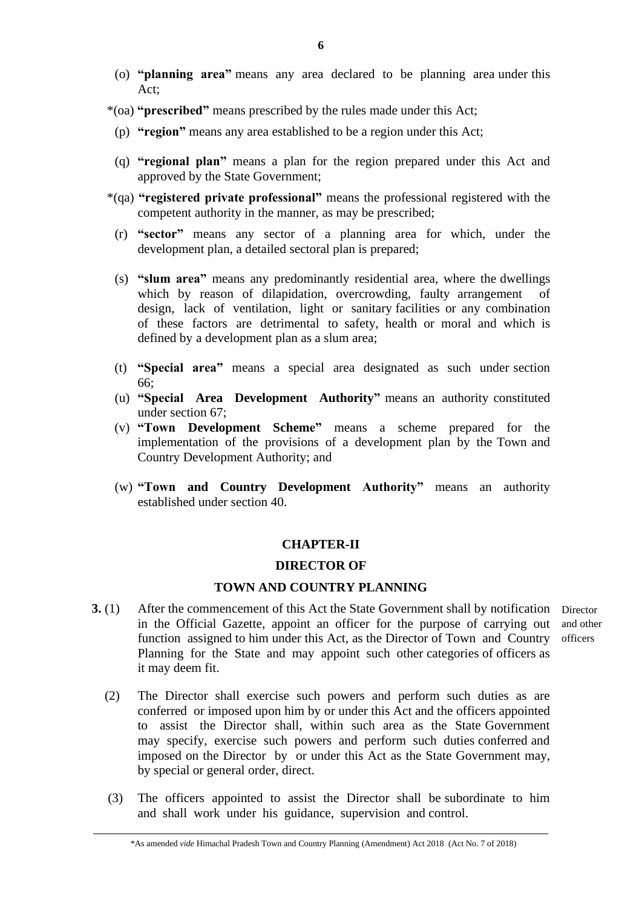- (o) **"planning area"** means any area declared to be planning area under this Act;
- \*(oa) **"prescribed"** means prescribed by the rules made under this Act;
- (p) **"region"** means any area established to be a region under this Act;
- (q) **"regional plan"** means a plan for the region prepared under this Act and approved by the State Government;
- \*(qa) **"registered private professional"** means the professional registered with the competent authority in the manner, as may be prescribed;
- (r) **"sector"** means any sector of a planning area for which, under the development plan, a detailed sectoral plan is prepared;
- (s) **"slum area"** means any predominantly residential area, where the dwellings which by reason of dilapidation, overcrowding, faulty arrangement design, lack of ventilation, light or sanitary facilities or any combination of these factors are detrimental to safety, health or moral and which is defined by a development plan as a slum area;
- (t) **"Special area"** means a special area designated as such under section 66;
- (u) **"Special Area Development Authority"** means an authority constituted under section 67;
- (v) **"Town Development Scheme"** means a scheme prepared for the implementation of the provisions of a development plan by the Town and Country Development Authority; and
- (w) **"Town and Country Development Authority"** means an authority established under section 40.

### **CHAPTER-II**

### **DIRECTOR OF**

## **TOWN AND COUNTRY PLANNING**

- **3.** (1) After the commencement of this Act the State Government shall by notification Director in the Official Gazette, appoint an officer for the purpose of carrying out function assigned to him under this Act, as the Director of Town and Country Planning for the State and may appoint such other categories of officers as it may deem fit.
	- and other officers
	- (2) The Director shall exercise such powers and perform such duties as are conferred or imposed upon him by or under this Act and the officers appointed to assist the Director shall, within such area as the State Government may specify, exercise such powers and perform such duties conferred and imposed on the Director by or under this Act as the State Government may, by special or general order, direct.
	- (3) The officers appointed to assist the Director shall be subordinate to him and shall work under his guidance, supervision and control.

\*As amended *vide* Himachal Pradesh Town and Country Planning (Amendment) Act 2018 (Act No. 7 of 2018)

 $\overline{a}$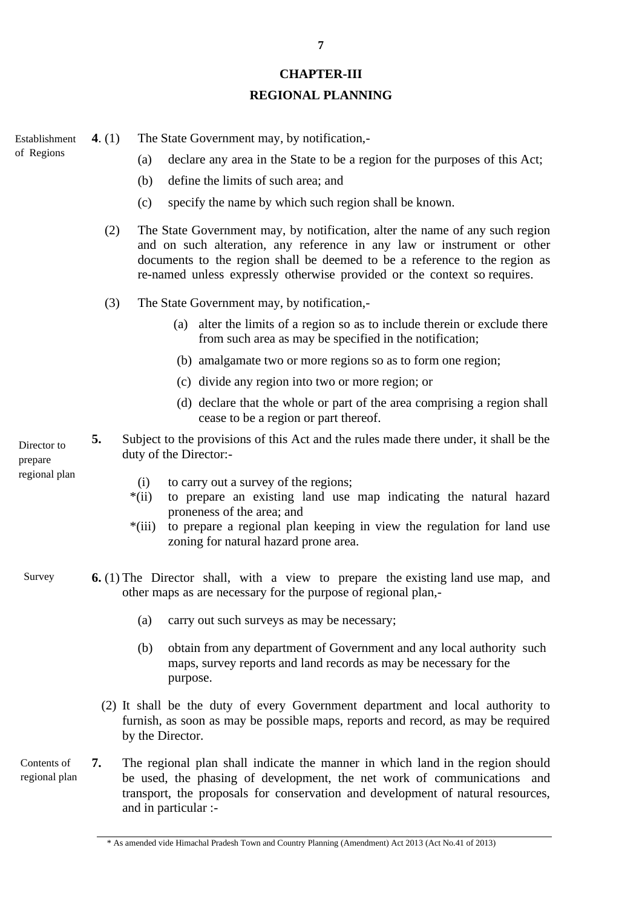### **CHAPTER-III**

## **REGIONAL PLANNING**

**4**. (1) The State Government may, by notification,- Establishment of Regions

- (a) declare any area in the State to be a region for the purposes of this Act;
- (b) define the limits of such area; and
- (c) specify the name by which such region shall be known.
- (2) The State Government may, by notification, alter the name of any such region and on such alteration, any reference in any law or instrument or other documents to the region shall be deemed to be a reference to the region as re-named unless expressly otherwise provided or the context so requires.
- (3) The State Government may, by notification,-
	- (a) alter the limits of a region so as to include therein or exclude there from such area as may be specified in the notification;
	- (b) amalgamate two or more regions so as to form one region;
	- (c) divide any region into two or more region; or
	- (d) declare that the whole or part of the area comprising a region shall cease to be a region or part thereof.
- **5.** Subject to the provisions of this Act and the rules made there under, it shall be the duty of the Director:- Director<sub>to</sub>

prepare regional plan

- (i) to carry out a survey of the regions;
- \*(ii) to prepare an existing land use map indicating the natural hazard proneness of the area; and
- \*(iii) to prepare a regional plan keeping in view the regulation for land use zoning for natural hazard prone area.
- **6.** (1) The Director shall, with a view to prepare the existing land use map, and other maps as are necessary for the purpose of regional plan,- Survey
	- (a) carry out such surveys as may be necessary;
	- (b) obtain from any department of Government and any local authority such maps, survey reports and land records as may be necessary for the purpose.
	- (2) It shall be the duty of every Government department and local authority to furnish, as soon as may be possible maps, reports and record, as may be required by the Director.
- **7.** The regional plan shall indicate the manner in which land in the region should be used, the phasing of development, the net work of communications and transport, the proposals for conservation and development of natural resources, and in particular :- Contents of regional plan

<sup>\*</sup> As amended vide Himachal Pradesh Town and Country Planning (Amendment) Act 2013 (Act No.41 of 2013)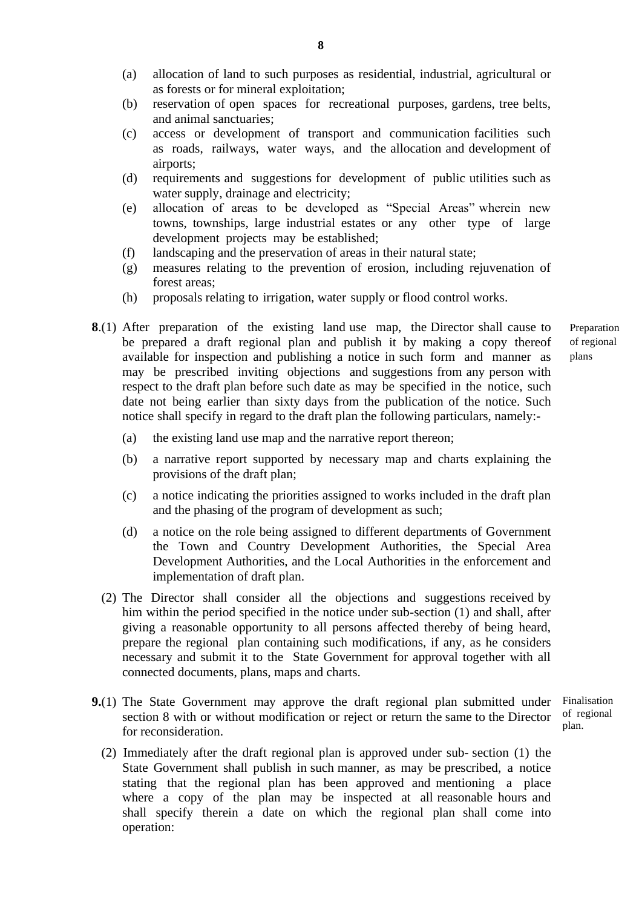- (a) allocation of land to such purposes as residential, industrial, agricultural or as forests or for mineral exploitation;
- (b) reservation of open spaces for recreational purposes, gardens, tree belts, and animal sanctuaries;
- (c) access or development of transport and communication facilities such as roads, railways, water ways, and the allocation and development of airports;
- (d) requirements and suggestions for development of public utilities such as water supply, drainage and electricity;
- (e) allocation of areas to be developed as "Special Areas" wherein new towns, townships, large industrial estates or any other type of large development projects may be established;
- (f) landscaping and the preservation of areas in their natural state;
- (g) measures relating to the prevention of erosion, including rejuvenation of forest areas;
- (h) proposals relating to irrigation, water supply or flood control works.
- **8**.(1) After preparation of the existing land use map, the Director shall cause to be prepared a draft regional plan and publish it by making a copy thereof available for inspection and publishing a notice in such form and manner as may be prescribed inviting objections and suggestions from any person with respect to the draft plan before such date as may be specified in the notice, such date not being earlier than sixty days from the publication of the notice. Such notice shall specify in regard to the draft plan the following particulars, namely:-
	- Preparation of regional plans

- (a) the existing land use map and the narrative report thereon;
- (b) a narrative report supported by necessary map and charts explaining the provisions of the draft plan;
- (c) a notice indicating the priorities assigned to works included in the draft plan and the phasing of the program of development as such;
- (d) a notice on the role being assigned to different departments of Government the Town and Country Development Authorities, the Special Area Development Authorities, and the Local Authorities in the enforcement and implementation of draft plan.
- (2) The Director shall consider all the objections and suggestions received by him within the period specified in the notice under sub-section (1) and shall, after giving a reasonable opportunity to all persons affected thereby of being heard, prepare the regional plan containing such modifications, if any, as he considers necessary and submit it to the State Government for approval together with all connected documents, plans, maps and charts.
- **9.**(1) The State Government may approve the draft regional plan submitted under section 8 with or without modification or reject or return the same to the Director for reconsideration. Finalisation of regional plan.
	- (2) Immediately after the draft regional plan is approved under sub- section (1) the State Government shall publish in such manner, as may be prescribed, a notice stating that the regional plan has been approved and mentioning a place where a copy of the plan may be inspected at all reasonable hours and shall specify therein a date on which the regional plan shall come into operation:

**8**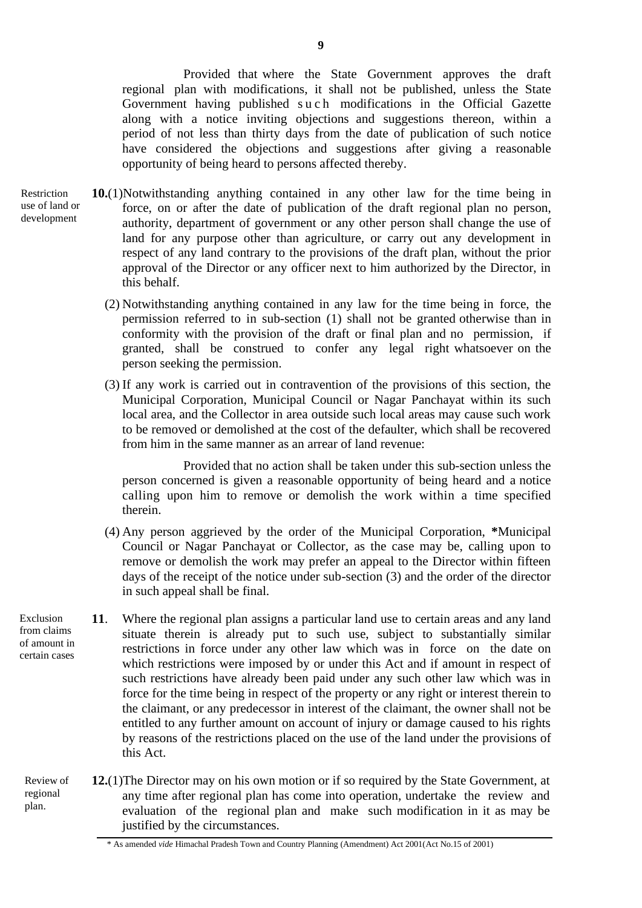Provided that where the State Government approves the draft regional plan with modifications, it shall not be published, unless the State Government having published such modifications in the Official Gazette along with a notice inviting objections and suggestions thereon, within a period of not less than thirty days from the date of publication of such notice have considered the objections and suggestions after giving a reasonable opportunity of being heard to persons affected thereby.

- **10.**(1)Notwithstanding anything contained in any other law for the time being in force, on or after the date of publication of the draft regional plan no person, authority, department of government or any other person shall change the use of land for any purpose other than agriculture, or carry out any development in respect of any land contrary to the provisions of the draft plan, without the prior approval of the Director or any officer next to him authorized by the Director, in this behalf. Restriction use of land or development
	- (2) Notwithstanding anything contained in any law for the time being in force, the permission referred to in sub-section (1) shall not be granted otherwise than in conformity with the provision of the draft or final plan and no permission, if granted, shall be construed to confer any legal right whatsoever on the person seeking the permission.
	- (3) If any work is carried out in contravention of the provisions of this section, the Municipal Corporation, Municipal Council or Nagar Panchayat within its such local area, and the Collector in area outside such local areas may cause such work to be removed or demolished at the cost of the defaulter, which shall be recovered from him in the same manner as an arrear of land revenue:

Provided that no action shall be taken under this sub-section unless the person concerned is given a reasonable opportunity of being heard and a notice calling upon him to remove or demolish the work within a time specified therein.

- (4) Any person aggrieved by the order of the Municipal Corporation, **\***Municipal Council or Nagar Panchayat or Collector, as the case may be, calling upon to remove or demolish the work may prefer an appeal to the Director within fifteen days of the receipt of the notice under sub-section (3) and the order of the director in such appeal shall be final.
- **11**. Where the regional plan assigns a particular land use to certain areas and any land situate therein is already put to such use, subject to substantially similar restrictions in force under any other law which was in force on the date on which restrictions were imposed by or under this Act and if amount in respect of such restrictions have already been paid under any such other law which was in force for the time being in respect of the property or any right or interest therein to the claimant, or any predecessor in interest of the claimant, the owner shall not be entitled to any further amount on account of injury or damage caused to his rights by reasons of the restrictions placed on the use of the land under the provisions of this Act.
- **12.**(1)The Director may on his own motion or if so required by the State Government, at any time after regional plan has come into operation, undertake the review and evaluation of the regional plan and make such modification in it as may be justified by the circumstances. Review of regional plan.

Exclusion from claims of amount in certain cases

<sup>\*</sup> As amended *vide* Himachal Pradesh Town and Country Planning (Amendment) Act 2001(Act No.15 of 2001)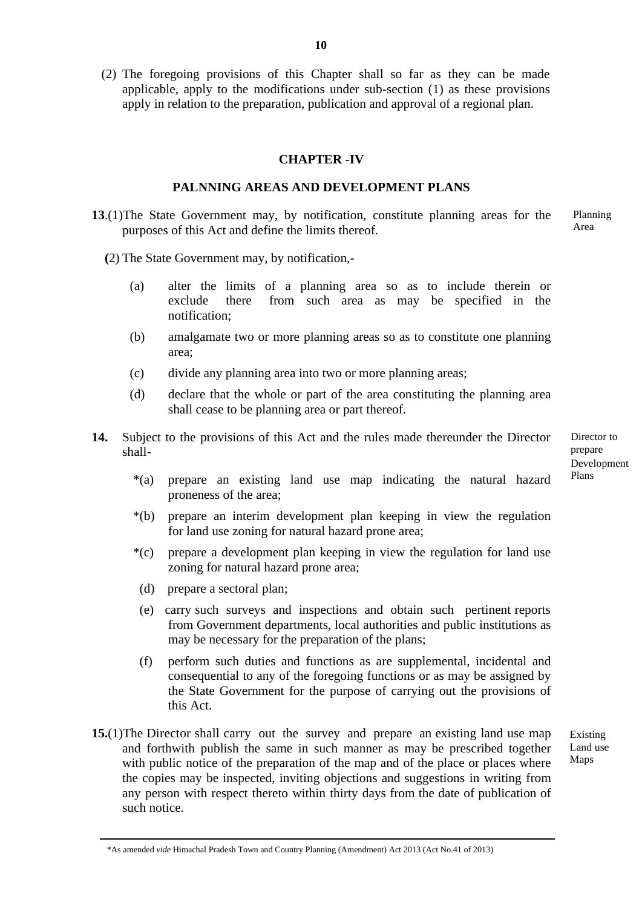(2) The foregoing provisions of this Chapter shall so far as they can be made applicable, apply to the modifications under sub-section (1) as these provisions apply in relation to the preparation, publication and approval of a regional plan.

### **CHAPTER -IV**

### **PALNNING AREAS AND DEVELOPMENT PLANS**

- **13**.(1)The State Government may, by notification, constitute planning areas for the purposes of this Act and define the limits thereof. Planning Area
	- **(**2) The State Government may, by notification,-
		- (a) alter the limits of a planning area so as to include therein or exclude there from such area as may be specified in the notification;
		- (b) amalgamate two or more planning areas so as to constitute one planning area;
		- (c) divide any planning area into two or more planning areas;
		- (d) declare that the whole or part of the area constituting the planning area shall cease to be planning area or part thereof.
- **14.** Subject to the provisions of this Act and the rules made thereunder the Director shall-

Director to prepare Development Plans

- \*(a) prepare an existing land use map indicating the natural hazard proneness of the area;
- \*(b) prepare an interim development plan keeping in view the regulation for land use zoning for natural hazard prone area;
- \*(c) prepare a development plan keeping in view the regulation for land use zoning for natural hazard prone area;
- (d) prepare a sectoral plan;
- (e) carry such surveys and inspections and obtain such pertinent reports from Government departments, local authorities and public institutions as may be necessary for the preparation of the plans;
- (f) perform such duties and functions as are supplemental, incidental and consequential to any of the foregoing functions or as may be assigned by the State Government for the purpose of carrying out the provisions of this Act.
- **15.**(1)The Director shall carry out the survey and prepare an existing land use map and forthwith publish the same in such manner as may be prescribed together with public notice of the preparation of the map and of the place or places where the copies may be inspected, inviting objections and suggestions in writing from any person with respect thereto within thirty days from the date of publication of such notice.

Existing Land use Maps

<sup>\*</sup>As amended *vide* Himachal Pradesh Town and Country Planning (Amendment) Act 2013 (Act No.41 of 2013)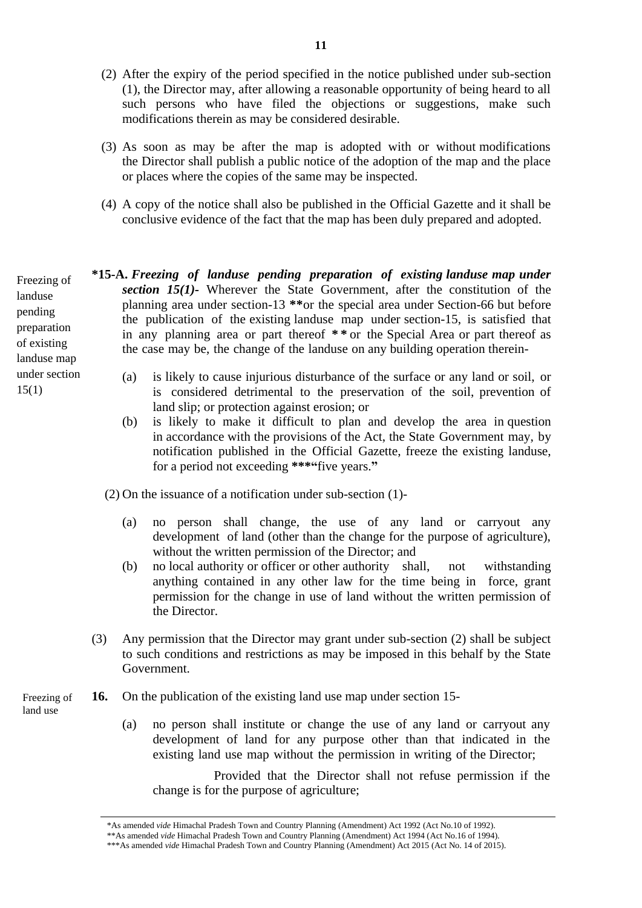- (2) After the expiry of the period specified in the notice published under sub-section (1), the Director may, after allowing a reasonable opportunity of being heard to all such persons who have filed the objections or suggestions, make such modifications therein as may be considered desirable.
- (3) As soon as may be after the map is adopted with or without modifications the Director shall publish a public notice of the adoption of the map and the place or places where the copies of the same may be inspected.
- (4) A copy of the notice shall also be published in the Official Gazette and it shall be conclusive evidence of the fact that the map has been duly prepared and adopted.

**\*15-A.** *Freezing of landuse pending preparation of existing landuse map under section 15(1)-* Wherever the State Government, after the constitution of the planning area under section-13 **\*\***or the special area under Section-66 but before the publication of the existing landuse map under section-15, is satisfied that in any planning area or part thereof **\* \*** or the Special Area or part thereof as the case may be, the change of the landuse on any building operation therein-

- (a) is likely to cause injurious disturbance of the surface or any land or soil, or is considered detrimental to the preservation of the soil, prevention of land slip; or protection against erosion; or
- (b) is likely to make it difficult to plan and develop the area in question in accordance with the provisions of the Act, the State Government may, by notification published in the Official Gazette, freeze the existing landuse, for a period not exceeding **\*\*\*"**five years.**"**

(2) On the issuance of a notification under sub-section (1)-

- (a) no person shall change, the use of any land or carryout any development of land (other than the change for the purpose of agriculture), without the written permission of the Director; and
- (b) no local authority or officer or other authority shall, not withstanding anything contained in any other law for the time being in force, grant permission for the change in use of land without the written permission of the Director.
- (3) Any permission that the Director may grant under sub-section (2) shall be subject to such conditions and restrictions as may be imposed in this behalf by the State Government.
- **16.** On the publication of the existing land use map under section 15- Freezing of
	- (a) no person shall institute or change the use of any land or carryout any development of land for any purpose other than that indicated in the existing land use map without the permission in writing of the Director;

Provided that the Director shall not refuse permission if the change is for the purpose of agriculture;

Freezing of landuse pending preparation of existing landuse map under section 15(1)

land use

<sup>\*</sup>As amended *vide* Himachal Pradesh Town and Country Planning (Amendment) Act 1992 (Act No.10 of 1992).

<sup>\*\*</sup>As amended *vide* Himachal Pradesh Town and Country Planning (Amendment) Act 1994 (Act No.16 of 1994).

<sup>\*\*\*</sup>As amended *vide* Himachal Pradesh Town and Country Planning (Amendment) Act 2015 (Act No. 14 of 2015).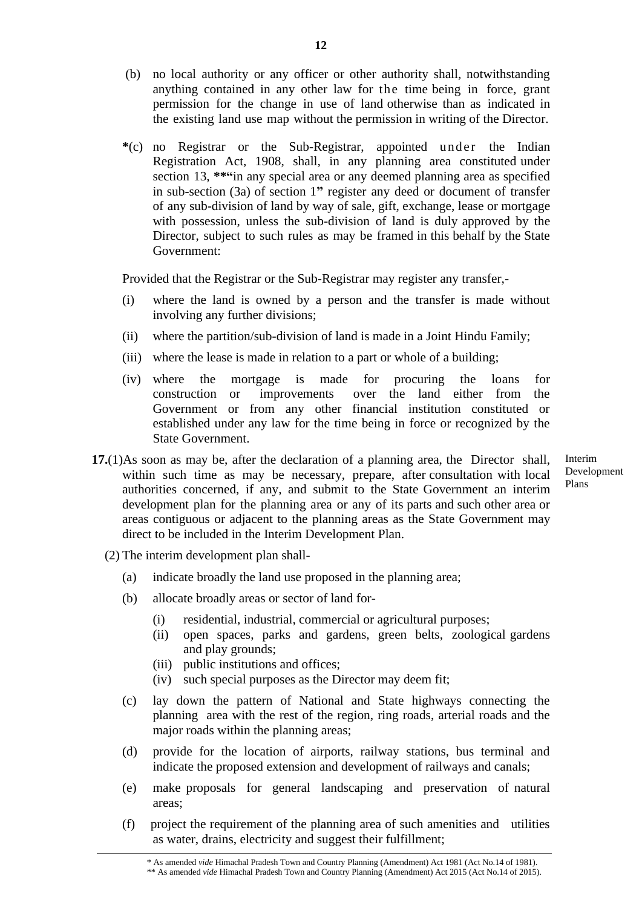- (b) no local authority or any officer or other authority shall, notwithstanding anything contained in any other law for the time being in force, grant permission for the change in use of land otherwise than as indicated in the existing land use map without the permission in writing of the Director.
- **\***(c) no Registrar or the Sub-Registrar, appointed under the Indian Registration Act, 1908, shall, in any planning area constituted under section 13, **\*\*"**in any special area or any deemed planning area as specified in sub-section (3a) of section 1**"** register any deed or document of transfer of any sub-division of land by way of sale, gift, exchange, lease or mortgage with possession, unless the sub-division of land is duly approved by the Director, subject to such rules as may be framed in this behalf by the State Government:

Provided that the Registrar or the Sub-Registrar may register any transfer,-

- (i) where the land is owned by a person and the transfer is made without involving any further divisions;
- (ii) where the partition/sub-division of land is made in a Joint Hindu Family;
- (iii) where the lease is made in relation to a part or whole of a building;
- (iv) where the mortgage is made for procuring the loans for construction or improvements over the land either from the Government or from any other financial institution constituted or established under any law for the time being in force or recognized by the State Government.
- **17.**(1)As soon as may be, after the declaration of a planning area, the Director shall, within such time as may be necessary, prepare, after consultation with local authorities concerned, if any, and submit to the State Government an interim development plan for the planning area or any of its parts and such other area or areas contiguous or adjacent to the planning areas as the State Government may direct to be included in the Interim Development Plan.
	- (2) The interim development plan shall-
		- (a) indicate broadly the land use proposed in the planning area;
		- (b) allocate broadly areas or sector of land for-
			- (i) residential, industrial, commercial or agricultural purposes;
			- (ii) open spaces, parks and gardens, green belts, zoological gardens and play grounds;
			- (iii) public institutions and offices;
			- (iv) such special purposes as the Director may deem fit;
		- (c) lay down the pattern of National and State highways connecting the planning area with the rest of the region, ring roads, arterial roads and the major roads within the planning areas;
		- (d) provide for the location of airports, railway stations, bus terminal and indicate the proposed extension and development of railways and canals;
		- (e) make proposals for general landscaping and preservation of natural areas;
		- (f) project the requirement of the planning area of such amenities and utilities as water, drains, electricity and suggest their fulfillment;

Interim Development Plans

<sup>\*\*</sup> As amended *vide* Himachal Pradesh Town and Country Planning (Amendment) Act 2015 (Act No.14 of 2015).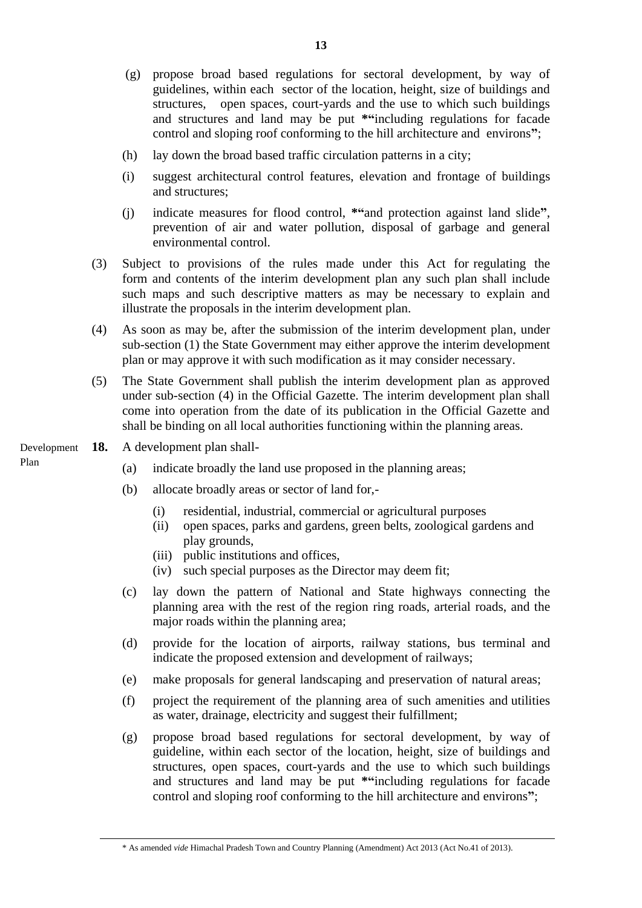- (g) propose broad based regulations for sectoral development, by way of guidelines, within each sector of the location, height, size of buildings and structures, open spaces, court-yards and the use to which such buildings and structures and land may be put **\*"**including regulations for facade control and sloping roof conforming to the hill architecture and environs**"**;
- (h) lay down the broad based traffic circulation patterns in a city;
- (i) suggest architectural control features, elevation and frontage of buildings and structures;
- (j) indicate measures for flood control, **\*"**and protection against land slide**"**, prevention of air and water pollution, disposal of garbage and general environmental control.
- (3) Subject to provisions of the rules made under this Act for regulating the form and contents of the interim development plan any such plan shall include such maps and such descriptive matters as may be necessary to explain and illustrate the proposals in the interim development plan.
- (4) As soon as may be, after the submission of the interim development plan, under sub-section (1) the State Government may either approve the interim development plan or may approve it with such modification as it may consider necessary.
- (5) The State Government shall publish the interim development plan as approved under sub-section (4) in the Official Gazette. The interim development plan shall come into operation from the date of its publication in the Official Gazette and shall be binding on all local authorities functioning within the planning areas.
- **18.** A development plan shall- Development

Plan

- (a) indicate broadly the land use proposed in the planning areas;
- (b) allocate broadly areas or sector of land for,-
	- (i) residential, industrial, commercial or agricultural purposes
	- (ii) open spaces, parks and gardens, green belts, zoological gardens and play grounds,
	- (iii) public institutions and offices,
	- (iv) such special purposes as the Director may deem fit;
- (c) lay down the pattern of National and State highways connecting the planning area with the rest of the region ring roads, arterial roads, and the major roads within the planning area;
- (d) provide for the location of airports, railway stations, bus terminal and indicate the proposed extension and development of railways;
- (e) make proposals for general landscaping and preservation of natural areas;
- (f) project the requirement of the planning area of such amenities and utilities as water, drainage, electricity and suggest their fulfillment;
- (g) propose broad based regulations for sectoral development, by way of guideline, within each sector of the location, height, size of buildings and structures, open spaces, court-yards and the use to which such buildings and structures and land may be put **\*"**including regulations for facade control and sloping roof conforming to the hill architecture and environs**"**;

<sup>\*</sup> As amended *vide* Himachal Pradesh Town and Country Planning (Amendment) Act 2013 (Act No.41 of 2013).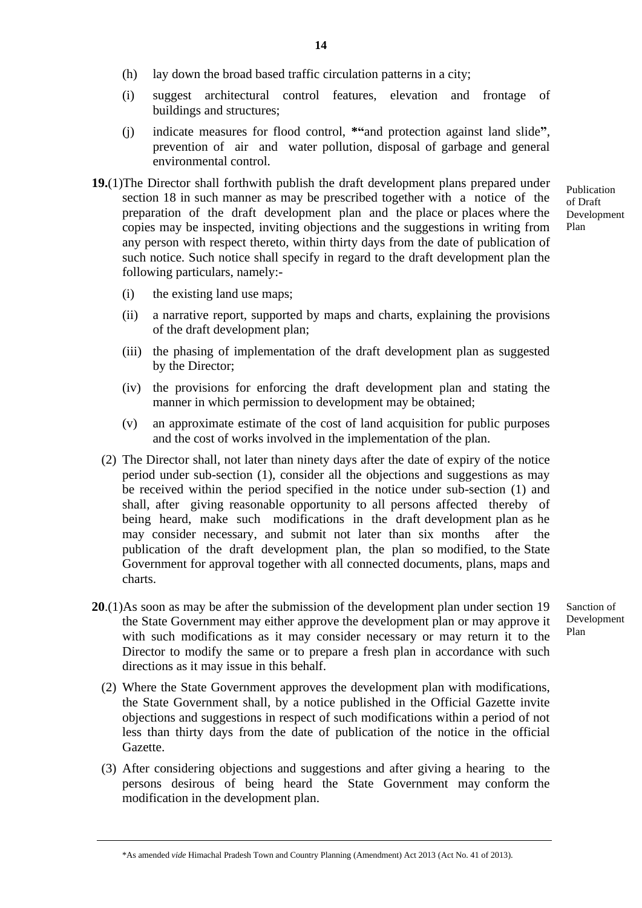- (h) lay down the broad based traffic circulation patterns in a city;
- (i) suggest architectural control features, elevation and frontage of buildings and structures;
- (j) indicate measures for flood control, **\*"**and protection against land slide**"**, prevention of air and water pollution, disposal of garbage and general environmental control.
- **19.**(1)The Director shall forthwith publish the draft development plans prepared under section 18 in such manner as may be prescribed together with a notice of the preparation of the draft development plan and the place or places where the copies may be inspected, inviting objections and the suggestions in writing from any person with respect thereto, within thirty days from the date of publication of such notice. Such notice shall specify in regard to the draft development plan the following particulars, namely:-
- Publication of Draft Development Plan

- (i) the existing land use maps;
- (ii) a narrative report, supported by maps and charts, explaining the provisions of the draft development plan;
- (iii) the phasing of implementation of the draft development plan as suggested by the Director;
- (iv) the provisions for enforcing the draft development plan and stating the manner in which permission to development may be obtained;
- (v) an approximate estimate of the cost of land acquisition for public purposes and the cost of works involved in the implementation of the plan.
- (2) The Director shall, not later than ninety days after the date of expiry of the notice period under sub-section (1), consider all the objections and suggestions as may be received within the period specified in the notice under sub-section (1) and shall, after giving reasonable opportunity to all persons affected thereby of being heard, make such modifications in the draft development plan as he may consider necessary, and submit not later than six months after the publication of the draft development plan, the plan so modified, to the State Government for approval together with all connected documents, plans, maps and charts.
- **20**.(1)As soon as may be after the submission of the development plan under section 19 the State Government may either approve the development plan or may approve it with such modifications as it may consider necessary or may return it to the Director to modify the same or to prepare a fresh plan in accordance with such directions as it may issue in this behalf. Sanction of Development Plan
	- (2) Where the State Government approves the development plan with modifications, the State Government shall, by a notice published in the Official Gazette invite objections and suggestions in respect of such modifications within a period of not less than thirty days from the date of publication of the notice in the official Gazette.
	- (3) After considering objections and suggestions and after giving a hearing to the persons desirous of being heard the State Government may conform the modification in the development plan.

\*As amended *vide* Himachal Pradesh Town and Country Planning (Amendment) Act 2013 (Act No. 41 of 2013).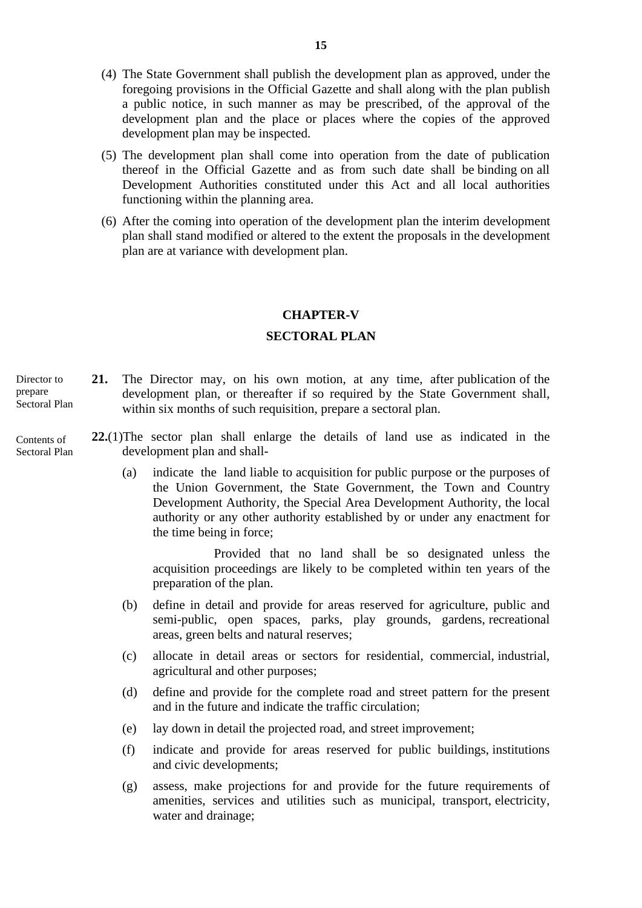- (4) The State Government shall publish the development plan as approved, under the foregoing provisions in the Official Gazette and shall along with the plan publish a public notice, in such manner as may be prescribed, of the approval of the development plan and the place or places where the copies of the approved development plan may be inspected.
- (5) The development plan shall come into operation from the date of publication thereof in the Official Gazette and as from such date shall be binding on all Development Authorities constituted under this Act and all local authorities functioning within the planning area.
- (6) After the coming into operation of the development plan the interim development plan shall stand modified or altered to the extent the proposals in the development plan are at variance with development plan.

### **CHAPTER-V**

### **SECTORAL PLAN**

**21.** The Director may, on his own motion, at any time, after publication of the development plan, or thereafter if so required by the State Government shall, within six months of such requisition, prepare a sectoral plan. Director to prepare Sectoral Plan

#### Contents of Sectoral Plan

- **22.**(1)The sector plan shall enlarge the details of land use as indicated in the development plan and shall-
	- (a) indicate the land liable to acquisition for public purpose or the purposes of the Union Government, the State Government, the Town and Country Development Authority, the Special Area Development Authority, the local authority or any other authority established by or under any enactment for the time being in force;

Provided that no land shall be so designated unless the acquisition proceedings are likely to be completed within ten years of the preparation of the plan.

- (b) define in detail and provide for areas reserved for agriculture, public and semi-public, open spaces, parks, play grounds, gardens, recreational areas, green belts and natural reserves;
- (c) allocate in detail areas or sectors for residential, commercial, industrial, agricultural and other purposes;
- (d) define and provide for the complete road and street pattern for the present and in the future and indicate the traffic circulation;
- (e) lay down in detail the projected road, and street improvement;
- (f) indicate and provide for areas reserved for public buildings, institutions and civic developments;
- (g) assess, make projections for and provide for the future requirements of amenities, services and utilities such as municipal, transport, electricity, water and drainage;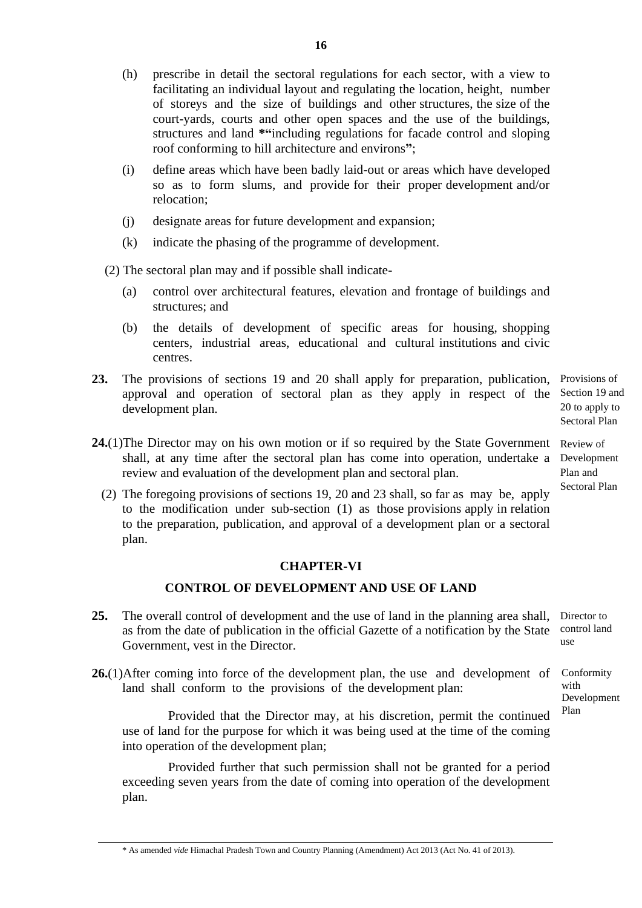- (h) prescribe in detail the sectoral regulations for each sector, with a view to facilitating an individual layout and regulating the location, height, number of storeys and the size of buildings and other structures, the size of the court-yards, courts and other open spaces and the use of the buildings, structures and land **\*"**including regulations for facade control and sloping roof conforming to hill architecture and environs**"**;
- (i) define areas which have been badly laid-out or areas which have developed so as to form slums, and provide for their proper development and/or relocation;
- (j) designate areas for future development and expansion;
- (k) indicate the phasing of the programme of development.
- (2) The sectoral plan may and if possible shall indicate-
	- (a) control over architectural features, elevation and frontage of buildings and structures; and
	- (b) the details of development of specific areas for housing, shopping centers, industrial areas, educational and cultural institutions and civic centres.
- **23.** The provisions of sections 19 and 20 shall apply for preparation, publication, Provisions of approval and operation of sectoral plan as they apply in respect of the Section 19 and development plan.

20 to apply to Sectoral Plan

- 24.(1) The Director may on his own motion or if so required by the State Government Review of shall, at any time after the sectoral plan has come into operation, undertake a Development review and evaluation of the development plan and sectoral plan. Plan and Sectoral Plan
	- (2) The foregoing provisions of sections 19, 20 and 23 shall, so far as may be, apply to the modification under sub-section (1) as those provisions apply in relation to the preparation, publication, and approval of a development plan or a sectoral plan.

# **CHAPTER-VI**

# **CONTROL OF DEVELOPMENT AND USE OF LAND**

- 25. The overall control of development and the use of land in the planning area shall, Director to as from the date of publication in the official Gazette of a notification by the State control land Government, vest in the Director. use
- **26.**(1)After coming into force of the development plan, the use and development of land shall conform to the provisions of the development plan: Development

Provided that the Director may, at his discretion, permit the continued use of land for the purpose for which it was being used at the time of the coming into operation of the development plan;

Provided further that such permission shall not be granted for a period exceeding seven years from the date of coming into operation of the development plan.

Conformity with

Plan

\* As amended *vide* Himachal Pradesh Town and Country Planning (Amendment) Act 2013 (Act No. 41 of 2013).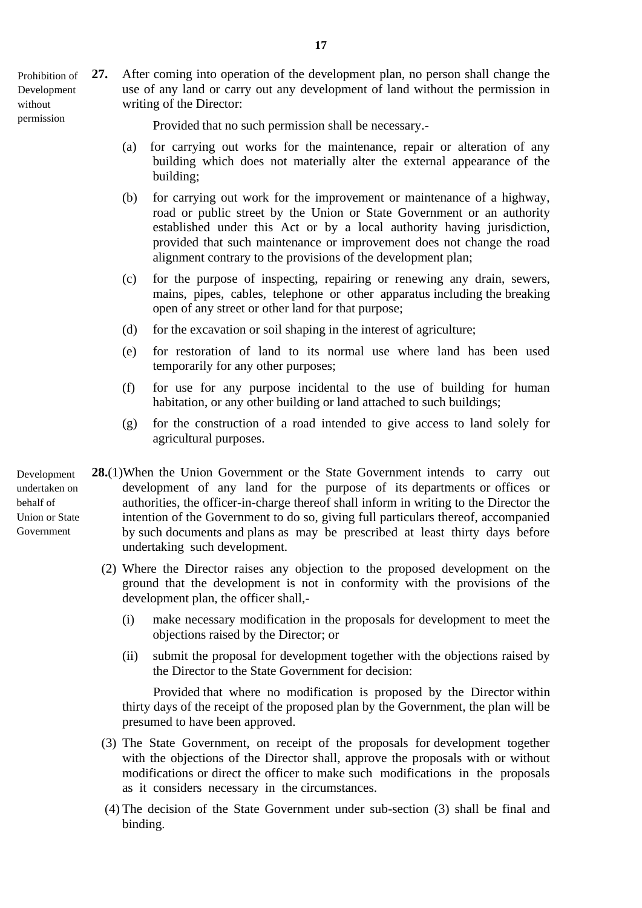- Prohibition of Development without permission
- **27.** After coming into operation of the development plan, no person shall change the use of any land or carry out any development of land without the permission in writing of the Director:

Provided that no such permission shall be necessary.-

- (a) for carrying out works for the maintenance, repair or alteration of any building which does not materially alter the external appearance of the building;
- (b) for carrying out work for the improvement or maintenance of a highway, road or public street by the Union or State Government or an authority established under this Act or by a local authority having jurisdiction, provided that such maintenance or improvement does not change the road alignment contrary to the provisions of the development plan;
- (c) for the purpose of inspecting, repairing or renewing any drain, sewers, mains, pipes, cables, telephone or other apparatus including the breaking open of any street or other land for that purpose;
- (d) for the excavation or soil shaping in the interest of agriculture;
- (e) for restoration of land to its normal use where land has been used temporarily for any other purposes;
- (f) for use for any purpose incidental to the use of building for human habitation, or any other building or land attached to such buildings;
- (g) for the construction of a road intended to give access to land solely for agricultural purposes.
- **28.**(1)When the Union Government or the State Government intends to carry out development of any land for the purpose of its departments or offices or authorities, the officer-in-charge thereof shall inform in writing to the Director the intention of the Government to do so, giving full particulars thereof, accompanied by such documents and plans as may be prescribed at least thirty days before undertaking such development. Development undertaken on behalf of Union or State Government
	- (2) Where the Director raises any objection to the proposed development on the ground that the development is not in conformity with the provisions of the development plan, the officer shall,-
		- (i) make necessary modification in the proposals for development to meet the objections raised by the Director; or
		- (ii) submit the proposal for development together with the objections raised by the Director to the State Government for decision:

 Provided that where no modification is proposed by the Director within thirty days of the receipt of the proposed plan by the Government, the plan will be presumed to have been approved.

- (3) The State Government, on receipt of the proposals for development together with the objections of the Director shall, approve the proposals with or without modifications or direct the officer to make such modifications in the proposals as it considers necessary in the circumstances.
- (4) The decision of the State Government under sub-section (3) shall be final and binding.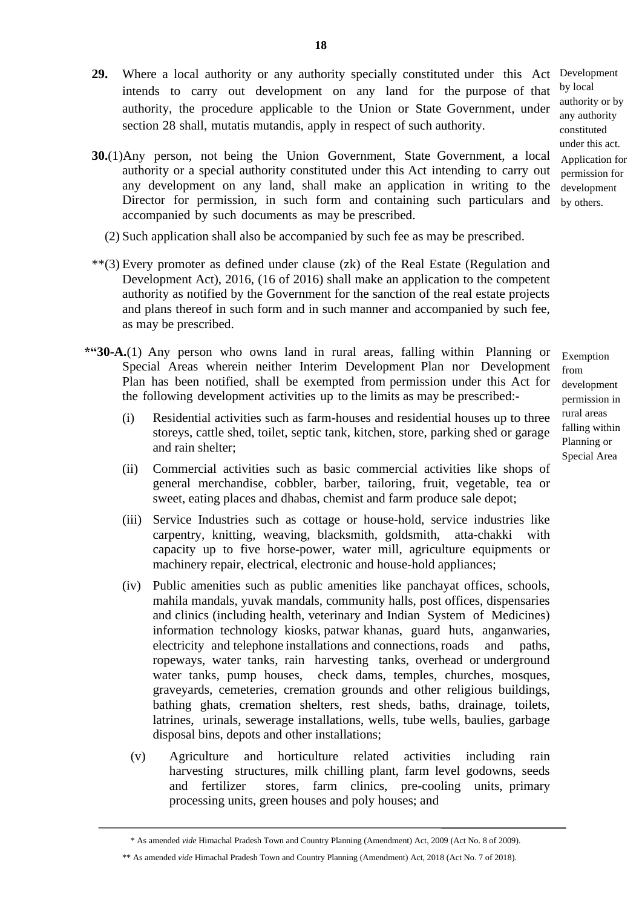- **29.** Where a local authority or any authority specially constituted under this Act Development intends to carry out development on any land for the purpose of that authority, the procedure applicable to the Union or State Government, under section 28 shall, mutatis mutandis, apply in respect of such authority.
- **30.**(1)Any person, not being the Union Government, State Government, a local authority or a special authority constituted under this Act intending to carry out any development on any land, shall make an application in writing to the Director for permission, in such form and containing such particulars and accompanied by such documents as may be prescribed.
	- (2) Such application shall also be accompanied by such fee as may be prescribed.
- \*\*(3) Every promoter as defined under clause (zk) of the Real Estate (Regulation and Development Act), 2016, (16 of 2016) shall make an application to the competent authority as notified by the Government for the sanction of the real estate projects and plans thereof in such form and in such manner and accompanied by such fee, as may be prescribed.
- **\*"30-A.**(1) Any person who owns land in rural areas, falling within Planning or Special Areas wherein neither Interim Development Plan nor Development Plan has been notified, shall be exempted from permission under this Act for the following development activities up to the limits as may be prescribed:-
	- (i) Residential activities such as farm-houses and residential houses up to three storeys, cattle shed, toilet, septic tank, kitchen, store, parking shed or garage and rain shelter;
	- (ii) Commercial activities such as basic commercial activities like shops of general merchandise, cobbler, barber, tailoring, fruit, vegetable, tea or sweet, eating places and dhabas, chemist and farm produce sale depot;
	- (iii) Service Industries such as cottage or house-hold, service industries like carpentry, knitting, weaving, blacksmith, goldsmith, atta-chakki with capacity up to five horse-power, water mill, agriculture equipments or machinery repair, electrical, electronic and house-hold appliances;
	- (iv) Public amenities such as public amenities like panchayat offices, schools, mahila mandals, yuvak mandals, community halls, post offices, dispensaries and clinics (including health, veterinary and Indian System of Medicines) information technology kiosks, patwar khanas, guard huts, anganwaries, electricity and telephone installations and connections, roads and paths, ropeways, water tanks, rain harvesting tanks, overhead or underground water tanks, pump houses, check dams, temples, churches, mosques, graveyards, cemeteries, cremation grounds and other religious buildings, bathing ghats, cremation shelters, rest sheds, baths, drainage, toilets, latrines, urinals, sewerage installations, wells, tube wells, baulies, garbage disposal bins, depots and other installations;
		- (v) Agriculture and horticulture related activities including rain harvesting structures, milk chilling plant, farm level godowns, seeds and fertilizer stores, farm clinics, pre-cooling units, primary processing units, green houses and poly houses; and

by local authority or by any authority constituted under this act. Application for permission for development by others.

<sup>\*</sup> As amended *vide* Himachal Pradesh Town and Country Planning (Amendment) Act, 2009 (Act No. 8 of 2009).

<sup>\*\*</sup> As amended *vide* Himachal Pradesh Town and Country Planning (Amendment) Act, 2018 (Act No. 7 of 2018).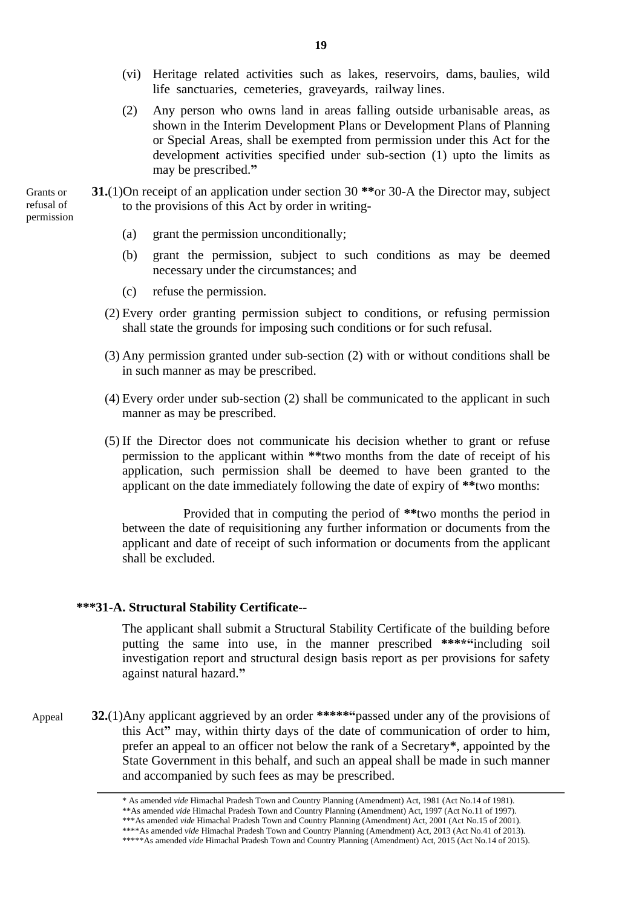- (vi) Heritage related activities such as lakes, reservoirs, dams, baulies, wild life sanctuaries, cemeteries, graveyards, railway lines.
- (2) Any person who owns land in areas falling outside urbanisable areas, as shown in the Interim Development Plans or Development Plans of Planning or Special Areas, shall be exempted from permission under this Act for the development activities specified under sub-section (1) upto the limits as may be prescribed.**"**

**31.**(1)On receipt of an application under section 30 **\*\***or 30-A the Director may, subject to the provisions of this Act by order in writing-

- (a) grant the permission unconditionally;
- (b) grant the permission, subject to such conditions as may be deemed necessary under the circumstances; and
- (c) refuse the permission.
- (2) Every order granting permission subject to conditions, or refusing permission shall state the grounds for imposing such conditions or for such refusal.
- (3) Any permission granted under sub-section (2) with or without conditions shall be in such manner as may be prescribed.
- (4) Every order under sub-section (2) shall be communicated to the applicant in such manner as may be prescribed.
- (5) If the Director does not communicate his decision whether to grant or refuse permission to the applicant within **\*\***two months from the date of receipt of his application, such permission shall be deemed to have been granted to the applicant on the date immediately following the date of expiry of **\*\***two months:

Provided that in computing the period of **\*\***two months the period in between the date of requisitioning any further information or documents from the applicant and date of receipt of such information or documents from the applicant shall be excluded.

### **\*\*\*31-A. Structural Stability Certificate--**

 The applicant shall submit a Structural Stability Certificate of the building before putting the same into use, in the manner prescribed **\*\*\*\*"**including soil investigation report and structural design basis report as per provisions for safety against natural hazard.**"**

**32.**(1)Any applicant aggrieved by an order **\*\*\*\*\*"**passed under any of the provisions of this Act**"** may, within thirty days of the date of communication of order to him, prefer an appeal to an officer not below the rank of a Secretary**\***, appointed by the State Government in this behalf, and such an appeal shall be made in such manner and accompanied by such fees as may be prescribed. Appeal

Grants or refusal of permission

<sup>\*</sup> As amended *vide* Himachal Pradesh Town and Country Planning (Amendment) Act, 1981 (Act No.14 of 1981).

<sup>\*\*</sup>As amended *vide* Himachal Pradesh Town and Country Planning (Amendment) Act, 1997 (Act No.11 of 1997).

<sup>\*\*\*</sup>As amended *vide* Himachal Pradesh Town and Country Planning (Amendment) Act, 2001 (Act No.15 of 2001). \*\*\*\*As amended *vide* Himachal Pradesh Town and Country Planning (Amendment) Act, 2013 (Act No.41 of 2013).

<sup>\*\*\*\*\*</sup>As amended *vide* Himachal Pradesh Town and Country Planning (Amendment) Act, 2015 (Act No.14 of 2015).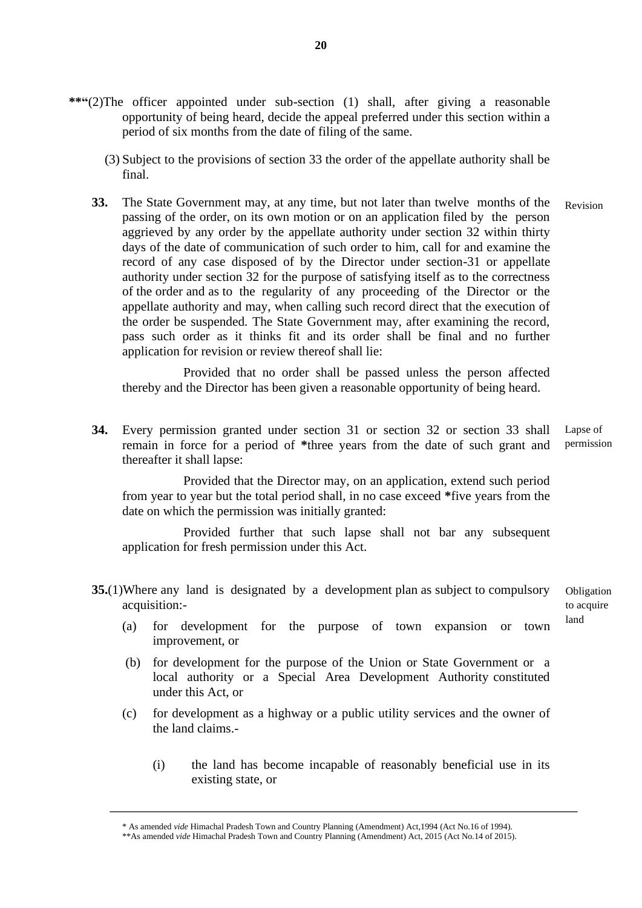- **\*\*"**(2)The officer appointed under sub-section (1) shall, after giving a reasonable opportunity of being heard, decide the appeal preferred under this section within a period of six months from the date of filing of the same.
	- (3) Subject to the provisions of section 33 the order of the appellate authority shall be final.
	- **33.** The State Government may, at any time, but not later than twelve months of the passing of the order, on its own motion or on an application filed by the person aggrieved by any order by the appellate authority under section 32 within thirty days of the date of communication of such order to him, call for and examine the record of any case disposed of by the Director under section-31 or appellate authority under section 32 for the purpose of satisfying itself as to the correctness of the order and as to the regularity of any proceeding of the Director or the appellate authority and may, when calling such record direct that the execution of the order be suspended. The State Government may, after examining the record, pass such order as it thinks fit and its order shall be final and no further application for revision or review thereof shall lie: Revision

Provided that no order shall be passed unless the person affected thereby and the Director has been given a reasonable opportunity of being heard.

**34.** Every permission granted under section 31 or section 32 or section 33 shall remain in force for a period of **\***three years from the date of such grant and thereafter it shall lapse: Lapse of permission

Provided that the Director may, on an application, extend such period from year to year but the total period shall, in no case exceed **\***five years from the date on which the permission was initially granted:

Provided further that such lapse shall not bar any subsequent application for fresh permission under this Act.

**35.**(1)Where any land is designated by a development plan as subject to compulsory acquisition:-

Obligation to acquire land

- (a) for development for the purpose of town expansion or town improvement, or
- (b) for development for the purpose of the Union or State Government or a local authority or a Special Area Development Authority constituted under this Act, or
- (c) for development as a highway or a public utility services and the owner of the land claims.-
	- (i) the land has become incapable of reasonably beneficial use in its existing state, or

<sup>\*</sup> As amended *vide* Himachal Pradesh Town and Country Planning (Amendment) Act,1994 (Act No.16 of 1994).

<sup>\*\*</sup>As amended *vide* Himachal Pradesh Town and Country Planning (Amendment) Act, 2015 (Act No.14 of 2015).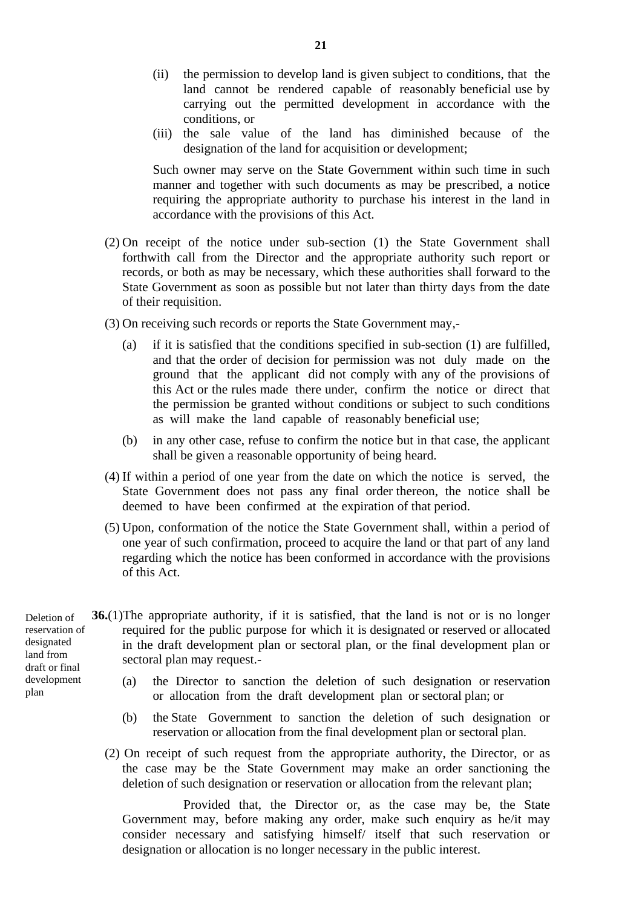- (ii) the permission to develop land is given subject to conditions, that the land cannot be rendered capable of reasonably beneficial use by carrying out the permitted development in accordance with the conditions, or
- (iii) the sale value of the land has diminished because of the designation of the land for acquisition or development;

Such owner may serve on the State Government within such time in such manner and together with such documents as may be prescribed, a notice requiring the appropriate authority to purchase his interest in the land in accordance with the provisions of this Act.

- (2) On receipt of the notice under sub-section (1) the State Government shall forthwith call from the Director and the appropriate authority such report or records, or both as may be necessary, which these authorities shall forward to the State Government as soon as possible but not later than thirty days from the date of their requisition.
- (3) On receiving such records or reports the State Government may,-
	- (a) if it is satisfied that the conditions specified in sub-section (1) are fulfilled, and that the order of decision for permission was not duly made on the ground that the applicant did not comply with any of the provisions of this Act or the rules made there under, confirm the notice or direct that the permission be granted without conditions or subject to such conditions as will make the land capable of reasonably beneficial use;
	- (b) in any other case, refuse to confirm the notice but in that case, the applicant shall be given a reasonable opportunity of being heard.
- (4) If within a period of one year from the date on which the notice is served, the State Government does not pass any final order thereon, the notice shall be deemed to have been confirmed at the expiration of that period.
- (5) Upon, conformation of the notice the State Government shall, within a period of one year of such confirmation, proceed to acquire the land or that part of any land regarding which the notice has been conformed in accordance with the provisions of this Act.

**36.**(1)The appropriate authority, if it is satisfied, that the land is not or is no longer required for the public purpose for which it is designated or reserved or allocated in the draft development plan or sectoral plan, or the final development plan or sectoral plan may request.-

- (a) the Director to sanction the deletion of such designation or reservation or allocation from the draft development plan or sectoral plan; or
- (b) the State Government to sanction the deletion of such designation or reservation or allocation from the final development plan or sectoral plan.
- (2) On receipt of such request from the appropriate authority, the Director, or as the case may be the State Government may make an order sanctioning the deletion of such designation or reservation or allocation from the relevant plan;

Provided that, the Director or, as the case may be, the State Government may, before making any order, make such enquiry as he/it may consider necessary and satisfying himself/ itself that such reservation or designation or allocation is no longer necessary in the public interest.

Deletion of reservation of designated land from draft or final development plan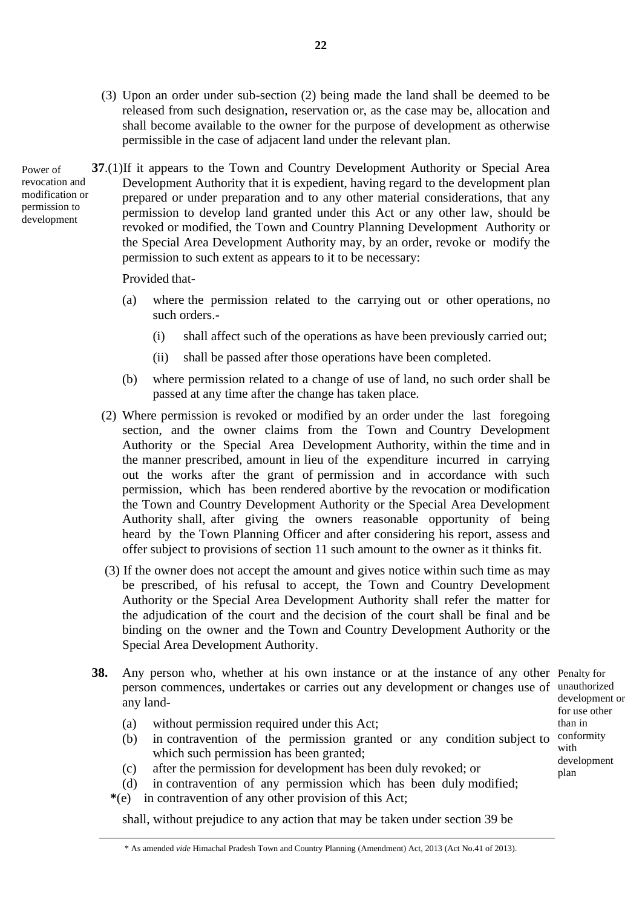- (3) Upon an order under sub-section (2) being made the land shall be deemed to be released from such designation, reservation or, as the case may be, allocation and shall become available to the owner for the purpose of development as otherwise permissible in the case of adjacent land under the relevant plan.
- **37**.(1)If it appears to the Town and Country Development Authority or Special Area Development Authority that it is expedient, having regard to the development plan prepared or under preparation and to any other material considerations, that any permission to develop land granted under this Act or any other law, should be revoked or modified, the Town and Country Planning Development Authority or the Special Area Development Authority may, by an order, revoke or modify the permission to such extent as appears to it to be necessary: Power of revocation and modification or permission to development

Provided that-

- (a) where the permission related to the carrying out or other operations, no such orders.-
	- (i) shall affect such of the operations as have been previously carried out;
	- (ii) shall be passed after those operations have been completed.
- (b) where permission related to a change of use of land, no such order shall be passed at any time after the change has taken place.
- (2) Where permission is revoked or modified by an order under the last foregoing section, and the owner claims from the Town and Country Development Authority or the Special Area Development Authority, within the time and in the manner prescribed, amount in lieu of the expenditure incurred in carrying out the works after the grant of permission and in accordance with such permission, which has been rendered abortive by the revocation or modification the Town and Country Development Authority or the Special Area Development Authority shall, after giving the owners reasonable opportunity of being heard by the Town Planning Officer and after considering his report, assess and offer subject to provisions of section 11 such amount to the owner as it thinks fit.
- (3) If the owner does not accept the amount and gives notice within such time as may be prescribed, of his refusal to accept, the Town and Country Development Authority or the Special Area Development Authority shall refer the matter for the adjudication of the court and the decision of the court shall be final and be binding on the owner and the Town and Country Development Authority or the Special Area Development Authority.
- **38.** Any person who, whether at his own instance or at the instance of any other Penalty for person commences, undertakes or carries out any development or changes use of unauthorized any land-
	- (a) without permission required under this Act;
	- (b) in contravention of the permission granted or any condition subject to which such permission has been granted:
	- (c) after the permission for development has been duly revoked; or
	- (d) in contravention of any permission which has been duly modified;
	- **\***(e) in contravention of any other provision of this Act;

shall, without prejudice to any action that may be taken under section 39 be

development or for use other than in conformity with development plan

<sup>\*</sup> As amended *vide* Himachal Pradesh Town and Country Planning (Amendment) Act, 2013 (Act No.41 of 2013).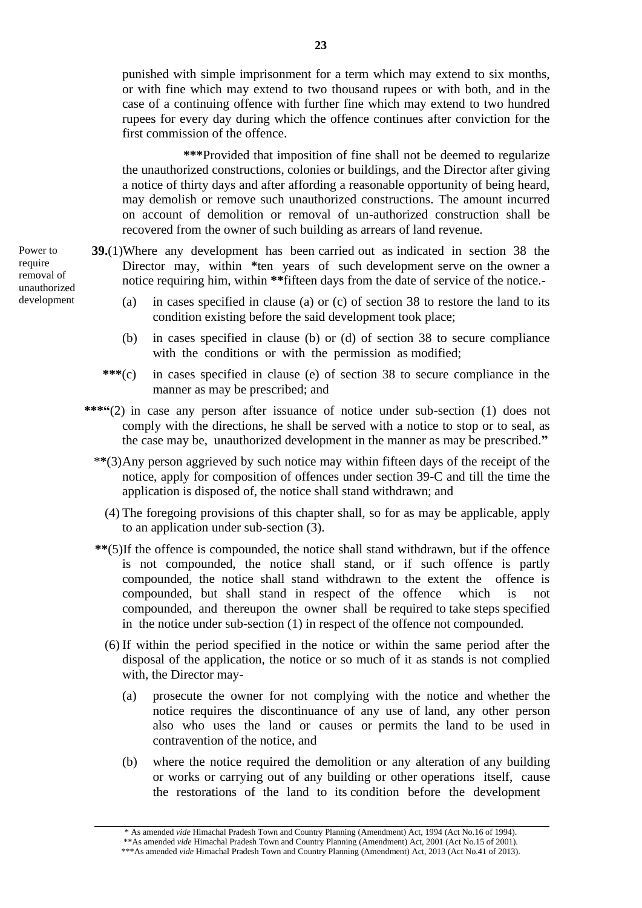punished with simple imprisonment for a term which may extend to six months, or with fine which may extend to two thousand rupees or with both, and in the case of a continuing offence with further fine which may extend to two hundred rupees for every day during which the offence continues after conviction for the first commission of the offence.

**\*\*\***Provided that imposition of fine shall not be deemed to regularize the unauthorized constructions, colonies or buildings, and the Director after giving a notice of thirty days and after affording a reasonable opportunity of being heard, may demolish or remove such unauthorized constructions. The amount incurred on account of demolition or removal of un-authorized construction shall be recovered from the owner of such building as arrears of land revenue.

- **39.**(1)Where any development has been carried out as indicated in section 38 the Director may, within **\***ten years of such development serve on the owner a notice requiring him, within **\*\***fifteen days from the date of service of the notice.-
	- (a) in cases specified in clause (a) or (c) of section 38 to restore the land to its condition existing before the said development took place;
	- (b) in cases specified in clause (b) or (d) of section 38 to secure compliance with the conditions or with the permission as modified;
	- **\*\*\***(c) in cases specified in clause (e) of section 38 to secure compliance in the manner as may be prescribed; and
	- **\*\*\*"**(2) in case any person after issuance of notice under sub-section (1) does not comply with the directions, he shall be served with a notice to stop or to seal, as the case may be, unauthorized development in the manner as may be prescribed.**"**
		- \***\***(3)Any person aggrieved by such notice may within fifteen days of the receipt of the notice, apply for composition of offences under section 39-C and till the time the application is disposed of, the notice shall stand withdrawn; and
			- (4) The foregoing provisions of this chapter shall, so for as may be applicable, apply to an application under sub-section (3).
		- **\*\***(5)If the offence is compounded, the notice shall stand withdrawn, but if the offence is not compounded, the notice shall stand, or if such offence is partly compounded, the notice shall stand withdrawn to the extent the offence is compounded, but shall stand in respect of the offence which is not compounded, and thereupon the owner shall be required to take steps specified in the notice under sub-section (1) in respect of the offence not compounded.
			- (6) If within the period specified in the notice or within the same period after the disposal of the application, the notice or so much of it as stands is not complied with, the Director may-
				- (a) prosecute the owner for not complying with the notice and whether the notice requires the discontinuance of any use of land, any other person also who uses the land or causes or permits the land to be used in contravention of the notice, and
				- (b) where the notice required the demolition or any alteration of any building or works or carrying out of any building or other operations itself, cause the restorations of the land to its condition before the development

\* As amended *vide* Himachal Pradesh Town and Country Planning (Amendment) Act, 1994 (Act No.16 of 1994). \*\*As amended *vide* Himachal Pradesh Town and Country Planning (Amendment) Act, 2001 (Act No.15 of 2001).

Power to require removal of unauthorized development

<sup>\*\*\*</sup>As amended *vide* Himachal Pradesh Town and Country Planning (Amendment) Act, 2013 (Act No.41 of 2013).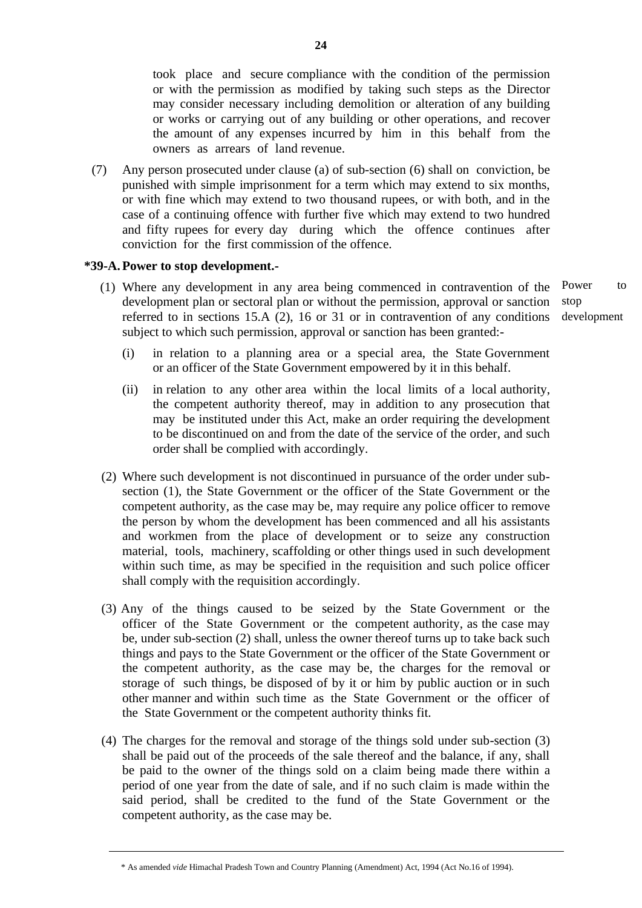took place and secure compliance with the condition of the permission or with the permission as modified by taking such steps as the Director may consider necessary including demolition or alteration of any building or works or carrying out of any building or other operations, and recover the amount of any expenses incurred by him in this behalf from the owners as arrears of land revenue.

(7) Any person prosecuted under clause (a) of sub-section (6) shall on conviction, be punished with simple imprisonment for a term which may extend to six months, or with fine which may extend to two thousand rupees, or with both, and in the case of a continuing offence with further five which may extend to two hundred and fifty rupees for every day during which the offence continues after conviction for the first commission of the offence.

### **\*39-A.Power to stop development.-**

- (1) Where any development in any area being commenced in contravention of the development plan or sectoral plan or without the permission, approval or sanction referred to in sections 15.A (2), 16 or 31 or in contravention of any conditions subject to which such permission, approval or sanction has been granted: stop
	- (i) in relation to a planning area or a special area, the State Government or an officer of the State Government empowered by it in this behalf.
	- (ii) in relation to any other area within the local limits of a local authority, the competent authority thereof, may in addition to any prosecution that may be instituted under this Act, make an order requiring the development to be discontinued on and from the date of the service of the order, and such order shall be complied with accordingly.
- (2) Where such development is not discontinued in pursuance of the order under subsection (1), the State Government or the officer of the State Government or the competent authority, as the case may be, may require any police officer to remove the person by whom the development has been commenced and all his assistants and workmen from the place of development or to seize any construction material, tools, machinery, scaffolding or other things used in such development within such time, as may be specified in the requisition and such police officer shall comply with the requisition accordingly.
- (3) Any of the things caused to be seized by the State Government or the officer of the State Government or the competent authority, as the case may be, under sub-section (2) shall, unless the owner thereof turns up to take back such things and pays to the State Government or the officer of the State Government or the competent authority, as the case may be, the charges for the removal or storage of such things, be disposed of by it or him by public auction or in such other manner and within such time as the State Government or the officer of the State Government or the competent authority thinks fit.
- (4) The charges for the removal and storage of the things sold under sub-section (3) shall be paid out of the proceeds of the sale thereof and the balance, if any, shall be paid to the owner of the things sold on a claim being made there within a period of one year from the date of sale, and if no such claim is made within the said period, shall be credited to the fund of the State Government or the competent authority, as the case may be.

Power to development

<sup>\*</sup> As amended *vide* Himachal Pradesh Town and Country Planning (Amendment) Act, 1994 (Act No.16 of 1994).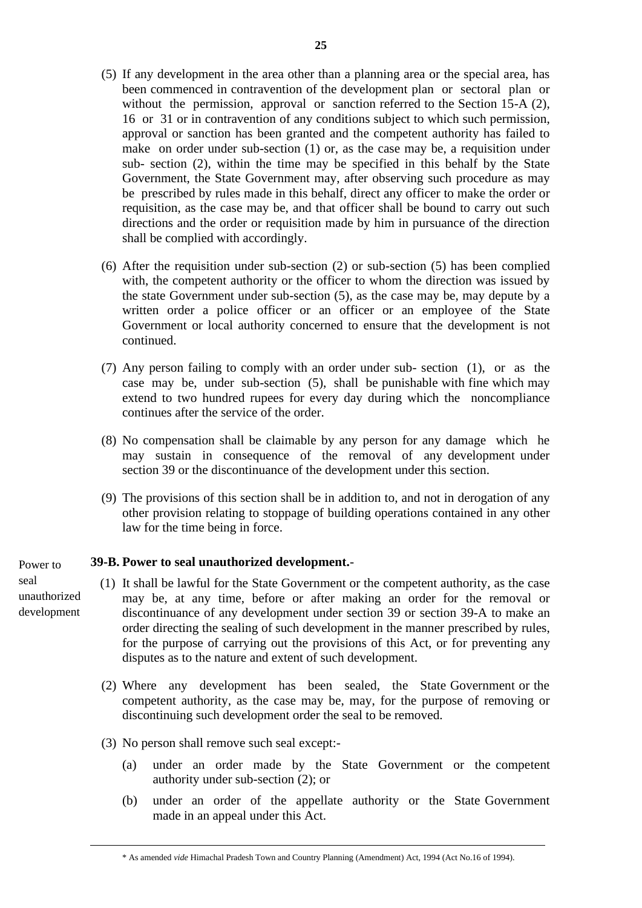- (5) If any development in the area other than a planning area or the special area, has been commenced in contravention of the development plan or sectoral plan or without the permission, approval or sanction referred to the Section 15-A (2), 16 or 31 or in contravention of any conditions subject to which such permission, approval or sanction has been granted and the competent authority has failed to make on order under sub-section (1) or, as the case may be, a requisition under sub- section (2), within the time may be specified in this behalf by the State Government, the State Government may, after observing such procedure as may be prescribed by rules made in this behalf, direct any officer to make the order or requisition, as the case may be, and that officer shall be bound to carry out such directions and the order or requisition made by him in pursuance of the direction shall be complied with accordingly.
- (6) After the requisition under sub-section (2) or sub-section (5) has been complied with, the competent authority or the officer to whom the direction was issued by the state Government under sub-section (5), as the case may be, may depute by a written order a police officer or an officer or an employee of the State Government or local authority concerned to ensure that the development is not continued.
- (7) Any person failing to comply with an order under sub- section (1), or as the case may be, under sub-section (5), shall be punishable with fine which may extend to two hundred rupees for every day during which the noncompliance continues after the service of the order.
- (8) No compensation shall be claimable by any person for any damage which he may sustain in consequence of the removal of any development under section 39 or the discontinuance of the development under this section.
- (9) The provisions of this section shall be in addition to, and not in derogation of any other provision relating to stoppage of building operations contained in any other law for the time being in force.

### **\*39-B. Power to seal unauthorized development.**-

- (1) It shall be lawful for the State Government or the competent authority, as the case may be, at any time, before or after making an order for the removal or discontinuance of any development under section 39 or section 39-A to make an order directing the sealing of such development in the manner prescribed by rules, for the purpose of carrying out the provisions of this Act, or for preventing any disputes as to the nature and extent of such development.
	- (2) Where any development has been sealed, the State Government or the competent authority, as the case may be, may, for the purpose of removing or discontinuing such development order the seal to be removed.
	- (3) No person shall remove such seal except:-
		- (a) under an order made by the State Government or the competent authority under sub-section (2); or
		- (b) under an order of the appellate authority or the State Government made in an appeal under this Act.

#### \* As amended *vide* Himachal Pradesh Town and Country Planning (Amendment) Act, 1994 (Act No.16 of 1994).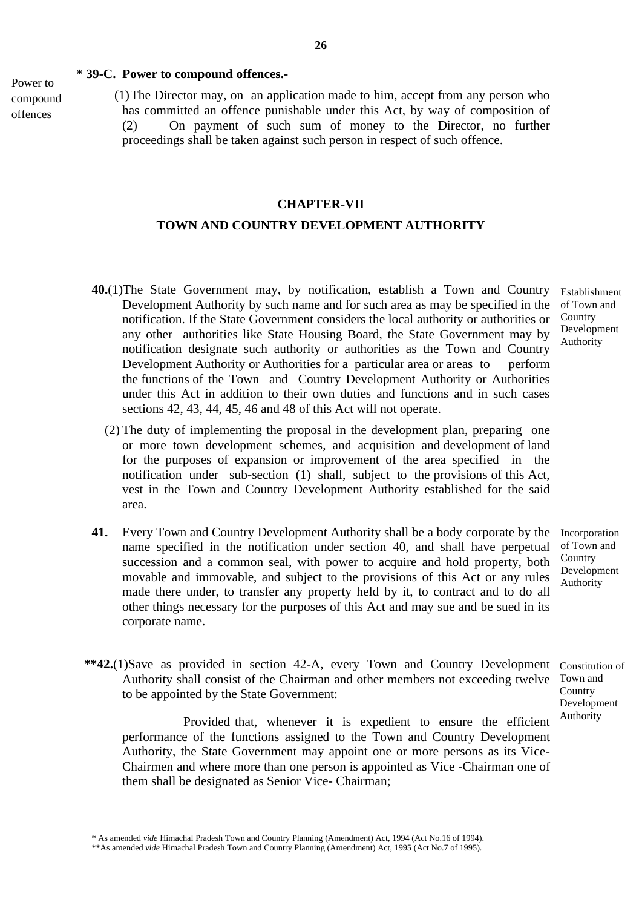#### **\* 39-C. Power to compound offences.-**

Power to compound offences

 (1)The Director may, on an application made to him, accept from any person who has committed an offence punishable under this Act, by way of composition of (2) On payment of such sum of money to the Director, no further proceedings shall be taken against such person in respect of such offence.

### **CHAPTER-VII**

### **TOWN AND COUNTRY DEVELOPMENT AUTHORITY**

- **40.**(1)The State Government may, by notification, establish a Town and Country Development Authority by such name and for such area as may be specified in the notification. If the State Government considers the local authority or authorities or any other authorities like State Housing Board, the State Government may by notification designate such authority or authorities as the Town and Country Development Authority or Authorities for a particular area or areas to perform the functions of the Town and Country Development Authority or Authorities under this Act in addition to their own duties and functions and in such cases sections 42, 43, 44, 45, 46 and 48 of this Act will not operate. Establishment of Town and
	- (2) The duty of implementing the proposal in the development plan, preparing one or more town development schemes, and acquisition and development of land for the purposes of expansion or improvement of the area specified in the notification under sub-section (1) shall, subject to the provisions of this Act, vest in the Town and Country Development Authority established for the said area.
- **41.** Every Town and Country Development Authority shall be a body corporate by the name specified in the notification under section 40, and shall have perpetual succession and a common seal, with power to acquire and hold property, both movable and immovable, and subject to the provisions of this Act or any rules made there under, to transfer any property held by it, to contract and to do all other things necessary for the purposes of this Act and may sue and be sued in its corporate name.
	- Incorporation of Town and **Country** Development Authority

Authority

**Country** Development Authority

**\*\*42.**(1)Save as provided in section 42-A, every Town and Country Development Constitution of Authority shall consist of the Chairman and other members not exceeding twelve Town and to be appointed by the State Government: **Country** Development

Provided that, whenever it is expedient to ensure the efficient performance of the functions assigned to the Town and Country Development Authority, the State Government may appoint one or more persons as its Vice-Chairmen and where more than one person is appointed as Vice -Chairman one of them shall be designated as Senior Vice- Chairman;

<sup>\*</sup> As amended *vide* Himachal Pradesh Town and Country Planning (Amendment) Act, 1994 (Act No.16 of 1994).

<sup>\*\*</sup>As amended *vide* Himachal Pradesh Town and Country Planning (Amendment) Act, 1995 (Act No.7 of 1995).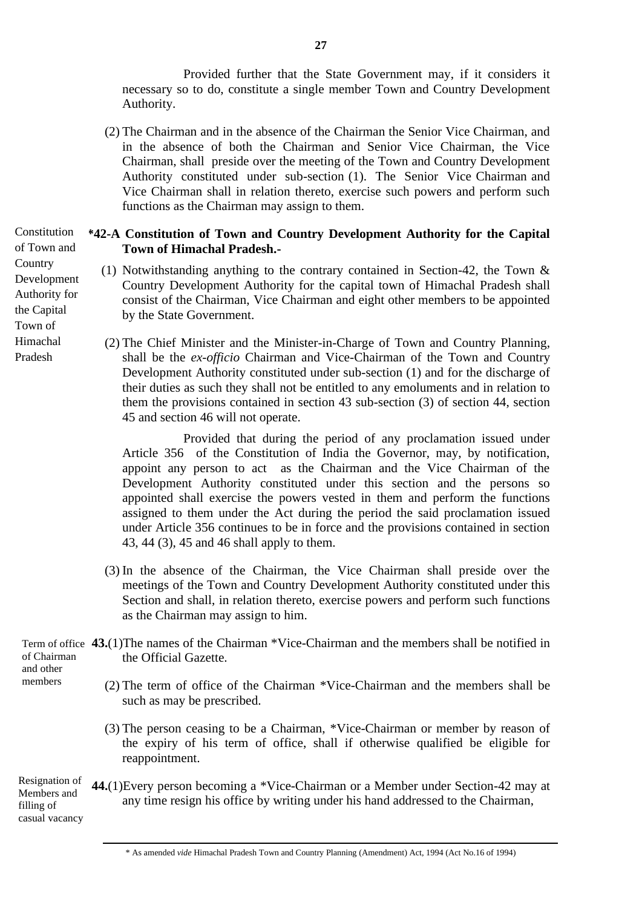Provided further that the State Government may, if it considers it necessary so to do, constitute a single member Town and Country Development Authority.

 (2) The Chairman and in the absence of the Chairman the Senior Vice Chairman, and in the absence of both the Chairman and Senior Vice Chairman, the Vice Chairman, shall preside over the meeting of the Town and Country Development Authority constituted under sub-section (1). The Senior Vice Chairman and Vice Chairman shall in relation thereto, exercise such powers and perform such functions as the Chairman may assign to them.

## **\*42-A Constitution of Town and Country Development Authority for the Capital Town of Himachal Pradesh.-**

- (1) Notwithstanding anything to the contrary contained in Section-42, the Town & Country Development Authority for the capital town of Himachal Pradesh shall consist of the Chairman, Vice Chairman and eight other members to be appointed by the State Government.
- (2) The Chief Minister and the Minister-in-Charge of Town and Country Planning, shall be the *ex-officio* Chairman and Vice-Chairman of the Town and Country Development Authority constituted under sub-section (1) and for the discharge of their duties as such they shall not be entitled to any emoluments and in relation to them the provisions contained in section 43 sub-section (3) of section 44, section 45 and section 46 will not operate.

Provided that during the period of any proclamation issued under Article 356 of the Constitution of India the Governor, may, by notification, appoint any person to act as the Chairman and the Vice Chairman of the Development Authority constituted under this section and the persons so appointed shall exercise the powers vested in them and perform the functions assigned to them under the Act during the period the said proclamation issued under Article 356 continues to be in force and the provisions contained in section 43, 44 (3), 45 and 46 shall apply to them.

- (3) In the absence of the Chairman, the Vice Chairman shall preside over the meetings of the Town and Country Development Authority constituted under this Section and shall, in relation thereto, exercise powers and perform such functions as the Chairman may assign to him.
- Term of office 43.(1) The names of the Chairman \*Vice-Chairman and the members shall be notified in the Official Gazette. of Chairman and other
	- (2) The term of office of the Chairman \*Vice-Chairman and the members shall be such as may be prescribed.
		- (3) The person ceasing to be a Chairman, \*Vice-Chairman or member by reason of the expiry of his term of office, shall if otherwise qualified be eligible for reappointment.

**44.**(1)Every person becoming a \*Vice-Chairman or a Member under Section-42 may at any time resign his office by writing under his hand addressed to the Chairman, Resignation of Members and filling of casual vacancy

Constitution of Town and **Country** Development Authority for the Capital Town of Himachal Pradesh

members

<sup>\*</sup> As amended *vide* Himachal Pradesh Town and Country Planning (Amendment) Act, 1994 (Act No.16 of 1994)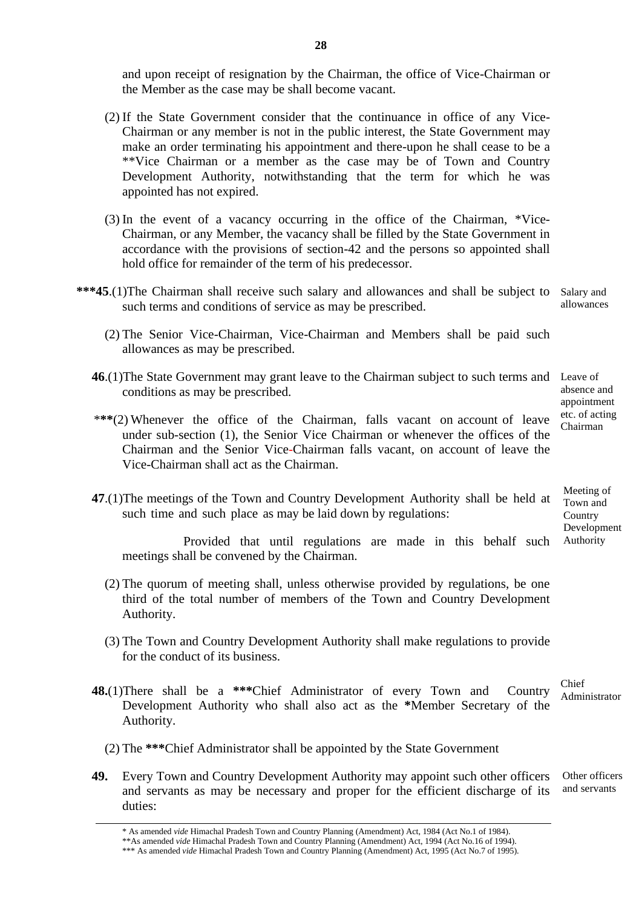and upon receipt of resignation by the Chairman, the office of Vice-Chairman or the Member as the case may be shall become vacant.

- (2) If the State Government consider that the continuance in office of any Vice-Chairman or any member is not in the public interest, the State Government may make an order terminating his appointment and there-upon he shall cease to be a \*\*Vice Chairman or a member as the case may be of Town and Country Development Authority, notwithstanding that the term for which he was appointed has not expired.
- (3) In the event of a vacancy occurring in the office of the Chairman, \*Vice-Chairman, or any Member, the vacancy shall be filled by the State Government in accordance with the provisions of section-42 and the persons so appointed shall hold office for remainder of the term of his predecessor.
- **\*\*\*45**.(1)The Chairman shall receive such salary and allowances and shall be subject to Salary and such terms and conditions of service as may be prescribed. allowances
	- (2) The Senior Vice-Chairman, Vice-Chairman and Members shall be paid such allowances as may be prescribed.
	- **46**.(1)The State Government may grant leave to the Chairman subject to such terms and Leave of conditions as may be prescribed.
	- \***\*\***(2) Whenever the office of the Chairman, falls vacant on account of leave under sub-section (1), the Senior Vice Chairman or whenever the offices of the Chairman and the Senior Vice-Chairman falls vacant, on account of leave the Vice-Chairman shall act as the Chairman.
	- **47**.(1)The meetings of the Town and Country Development Authority shall be held at such time and such place as may be laid down by regulations:

Provided that until regulations are made in this behalf such meetings shall be convened by the Chairman.

- (2) The quorum of meeting shall, unless otherwise provided by regulations, be one third of the total number of members of the Town and Country Development Authority.
- (3) The Town and Country Development Authority shall make regulations to provide for the conduct of its business.
- **48.**(1)There shall be a **\*\*\***Chief Administrator of every Town and Country Development Authority who shall also act as the **\***Member Secretary of the Authority.
	- (2) The **\*\*\***Chief Administrator shall be appointed by the State Government
- **49.** Every Town and Country Development Authority may appoint such other officers and servants as may be necessary and proper for the efficient discharge of its duties: Other officers and servants

absence and appointment etc. of acting Chairman

Meeting of Town and **Country** Development Authority

Chief Administrator

<sup>\*</sup> As amended *vide* Himachal Pradesh Town and Country Planning (Amendment) Act, 1984 (Act No.1 of 1984).

<sup>\*\*</sup>As amended *vide* Himachal Pradesh Town and Country Planning (Amendment) Act, 1994 (Act No.16 of 1994).

<sup>\*\*\*</sup> As amended *vide* Himachal Pradesh Town and Country Planning (Amendment) Act, 1995 (Act No.7 of 1995).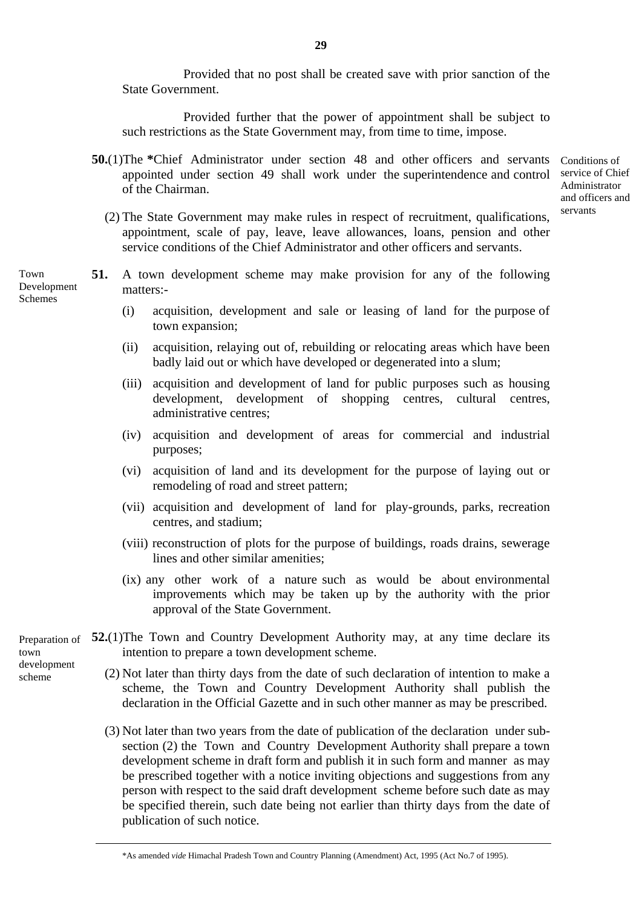Provided that no post shall be created save with prior sanction of the State Government.

Provided further that the power of appointment shall be subject to such restrictions as the State Government may, from time to time, impose.

**50.**(1) The \*Chief Administrator under section 48 and other officers and servants Conditions of appointed under section 49 shall work under the superintendence and control service of Chief of the Chairman.

Administrator and officers and servants

- (2) The State Government may make rules in respect of recruitment, qualifications, appointment, scale of pay, leave, leave allowances, loans, pension and other service conditions of the Chief Administrator and other officers and servants.
- **51.** A town development scheme may make provision for any of the following matters:-
	- (i) acquisition, development and sale or leasing of land for the purpose of town expansion;
	- (ii) acquisition, relaying out of, rebuilding or relocating areas which have been badly laid out or which have developed or degenerated into a slum;
	- (iii) acquisition and development of land for public purposes such as housing development, development of shopping centres, cultural centres, administrative centres;
	- (iv) acquisition and development of areas for commercial and industrial purposes;
	- (vi) acquisition of land and its development for the purpose of laying out or remodeling of road and street pattern;
	- (vii) acquisition and development of land for play-grounds, parks, recreation centres, and stadium;
	- (viii) reconstruction of plots for the purpose of buildings, roads drains, sewerage lines and other similar amenities;
	- (ix) any other work of a nature such as would be about environmental improvements which may be taken up by the authority with the prior approval of the State Government.
- Preparation of 52.(1)The Town and Country Development Authority may, at any time declare its intention to prepare a town development scheme.
	- (2) Not later than thirty days from the date of such declaration of intention to make a scheme, the Town and Country Development Authority shall publish the declaration in the Official Gazette and in such other manner as may be prescribed.
	- (3) Not later than two years from the date of publication of the declaration under subsection (2) the Town and Country Development Authority shall prepare a town development scheme in draft form and publish it in such form and manner as may be prescribed together with a notice inviting objections and suggestions from any person with respect to the said draft development scheme before such date as may be specified therein, such date being not earlier than thirty days from the date of publication of such notice.

**29**

Development Schemes

Town

town development scheme

<sup>\*</sup>As amended *vide* Himachal Pradesh Town and Country Planning (Amendment) Act, 1995 (Act No.7 of 1995).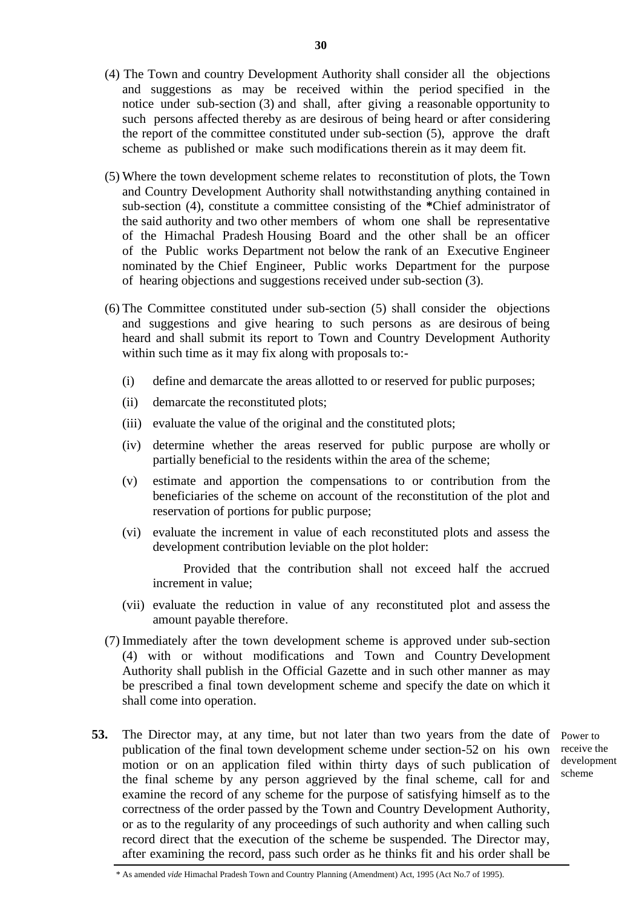- (4) The Town and country Development Authority shall consider all the objections and suggestions as may be received within the period specified in the notice under sub-section (3) and shall, after giving a reasonable opportunity to such persons affected thereby as are desirous of being heard or after considering the report of the committee constituted under sub-section (5), approve the draft scheme as published or make such modifications therein as it may deem fit.
- (5) Where the town development scheme relates to reconstitution of plots, the Town and Country Development Authority shall notwithstanding anything contained in sub-section (4), constitute a committee consisting of the **\***Chief administrator of the said authority and two other members of whom one shall be representative of the Himachal Pradesh Housing Board and the other shall be an officer of the Public works Department not below the rank of an Executive Engineer nominated by the Chief Engineer, Public works Department for the purpose of hearing objections and suggestions received under sub-section (3).
- (6) The Committee constituted under sub-section (5) shall consider the objections and suggestions and give hearing to such persons as are desirous of being heard and shall submit its report to Town and Country Development Authority within such time as it may fix along with proposals to:-
	- (i) define and demarcate the areas allotted to or reserved for public purposes;
	- (ii) demarcate the reconstituted plots;
	- (iii) evaluate the value of the original and the constituted plots;
	- (iv) determine whether the areas reserved for public purpose are wholly or partially beneficial to the residents within the area of the scheme;
	- (v) estimate and apportion the compensations to or contribution from the beneficiaries of the scheme on account of the reconstitution of the plot and reservation of portions for public purpose;
	- (vi) evaluate the increment in value of each reconstituted plots and assess the development contribution leviable on the plot holder:

Provided that the contribution shall not exceed half the accrued increment in value;

- (vii) evaluate the reduction in value of any reconstituted plot and assess the amount payable therefore.
- (7) Immediately after the town development scheme is approved under sub-section (4) with or without modifications and Town and Country Development Authority shall publish in the Official Gazette and in such other manner as may be prescribed a final town development scheme and specify the date on which it shall come into operation.
- **53.** The Director may, at any time, but not later than two years from the date of Power to publication of the final town development scheme under section-52 on his own receive the motion or on an application filed within thirty days of such publication of the final scheme by any person aggrieved by the final scheme, call for and examine the record of any scheme for the purpose of satisfying himself as to the correctness of the order passed by the Town and Country Development Authority, or as to the regularity of any proceedings of such authority and when calling such record direct that the execution of the scheme be suspended. The Director may, after examining the record, pass such order as he thinks fit and his order shall be

development scheme

<sup>\*</sup> As amended *vide* Himachal Pradesh Town and Country Planning (Amendment) Act, 1995 (Act No.7 of 1995).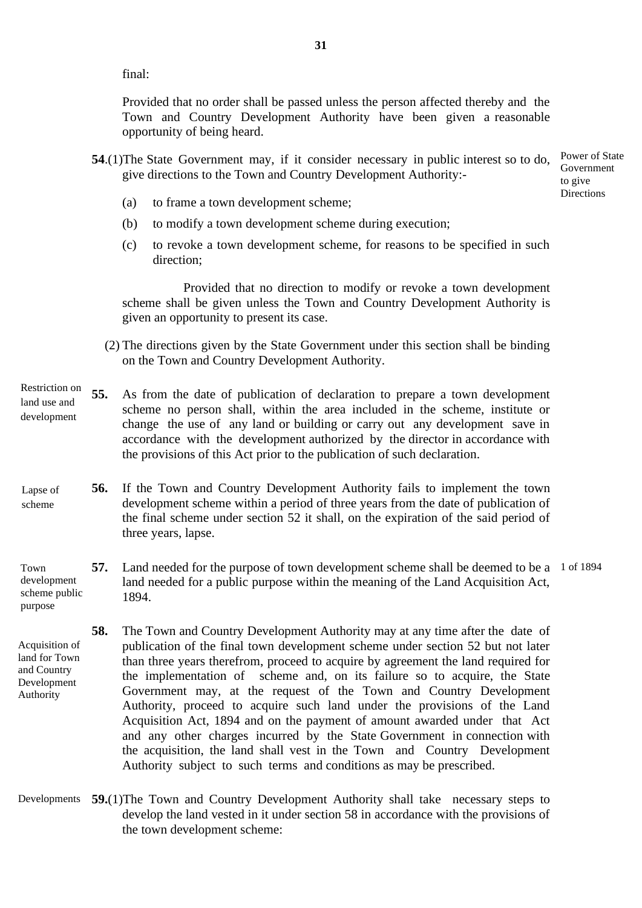final:

Provided that no order shall be passed unless the person affected thereby and the Town and Country Development Authority have been given a reasonable opportunity of being heard.

- **54**.(1)The State Government may, if it consider necessary in public interest so to do, give directions to the Town and Country Development Authority:-
	- (a) to frame a town development scheme;
	- (b) to modify a town development scheme during execution;
	- (c) to revoke a town development scheme, for reasons to be specified in such direction;

Provided that no direction to modify or revoke a town development scheme shall be given unless the Town and Country Development Authority is given an opportunity to present its case.

- (2) The directions given by the State Government under this section shall be binding on the Town and Country Development Authority.
- **55.** As from the date of publication of declaration to prepare a town development scheme no person shall, within the area included in the scheme, institute or change the use of any land or building or carry out any development save in accordance with the development authorized by the director in accordance with the provisions of this Act prior to the publication of such declaration. development
- **56.** If the Town and Country Development Authority fails to implement the town development scheme within a period of three years from the date of publication of the final scheme under section 52 it shall, on the expiration of the said period of three years, lapse. Lapse of scheme
- **57.** Land needed for the purpose of town development scheme shall be deemed to be a 1 of 1894 land needed for a public purpose within the meaning of the Land Acquisition Act, 1894. Town development scheme public
- **58.** The Town and Country Development Authority may at any time after the date of publication of the final town development scheme under section 52 but not later than three years therefrom, proceed to acquire by agreement the land required for the implementation of scheme and, on its failure so to acquire, the State Government may, at the request of the Town and Country Development Authority, proceed to acquire such land under the provisions of the Land Acquisition Act, 1894 and on the payment of amount awarded under that Act and any other charges incurred by the State Government in connection with the acquisition, the land shall vest in the Town and Country Development Authority subject to such terms and conditions as may be prescribed. Acquisition of land for Town and Country Development Authority
- **59.**(1)The Town and Country Development Authority shall take necessary steps to Developmentsdevelop the land vested in it under section 58 in accordance with the provisions of the town development scheme:

Power of State Government to give **Directions** 

- Restriction on land use and
- 

purpose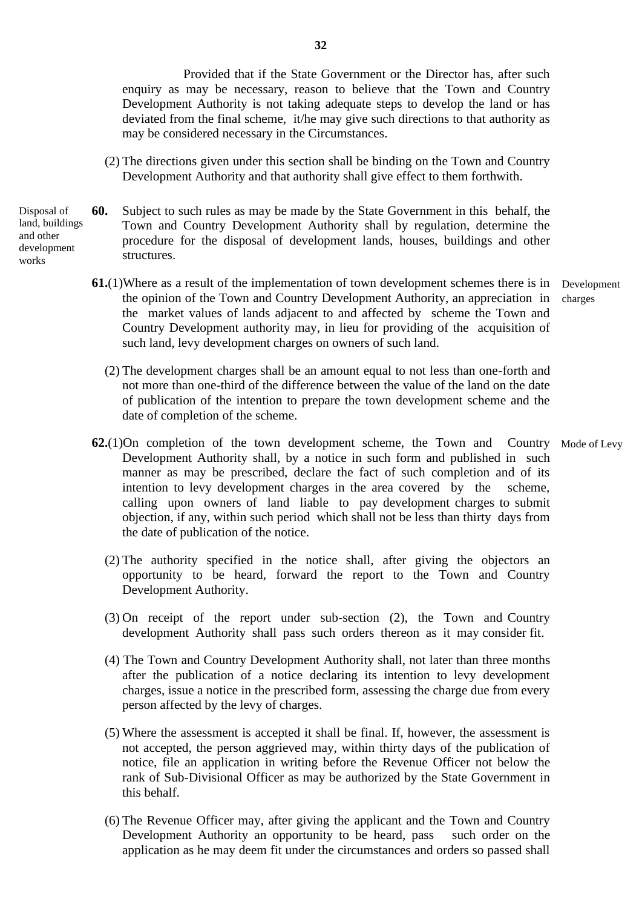Provided that if the State Government or the Director has, after such enquiry as may be necessary, reason to believe that the Town and Country Development Authority is not taking adequate steps to develop the land or has deviated from the final scheme, it/he may give such directions to that authority as may be considered necessary in the Circumstances.

 (2) The directions given under this section shall be binding on the Town and Country Development Authority and that authority shall give effect to them forthwith.

Disposal of land, buildings and other development works

- **60.** Subject to such rules as may be made by the State Government in this behalf, the Town and Country Development Authority shall by regulation, determine the procedure for the disposal of development lands, houses, buildings and other structures.
	- **61.**(1)Where as a result of the implementation of town development schemes there is in the opinion of the Town and Country Development Authority, an appreciation in the market values of lands adjacent to and affected by scheme the Town and Country Development authority may, in lieu for providing of the acquisition of such land, levy development charges on owners of such land. Development charges
		- (2) The development charges shall be an amount equal to not less than one-forth and not more than one-third of the difference between the value of the land on the date of publication of the intention to prepare the town development scheme and the date of completion of the scheme.
	- **62.**(1)On completion of the town development scheme, the Town and Country Mode of Levy Development Authority shall, by a notice in such form and published in such manner as may be prescribed, declare the fact of such completion and of its intention to levy development charges in the area covered by the scheme, calling upon owners of land liable to pay development charges to submit objection, if any, within such period which shall not be less than thirty days from the date of publication of the notice.
		- (2) The authority specified in the notice shall, after giving the objectors an opportunity to be heard, forward the report to the Town and Country Development Authority.
		- (3) On receipt of the report under sub-section (2), the Town and Country development Authority shall pass such orders thereon as it may consider fit.
		- (4) The Town and Country Development Authority shall, not later than three months after the publication of a notice declaring its intention to levy development charges, issue a notice in the prescribed form, assessing the charge due from every person affected by the levy of charges.
		- (5) Where the assessment is accepted it shall be final. If, however, the assessment is not accepted, the person aggrieved may, within thirty days of the publication of notice, file an application in writing before the Revenue Officer not below the rank of Sub-Divisional Officer as may be authorized by the State Government in this behalf.
		- (6) The Revenue Officer may, after giving the applicant and the Town and Country Development Authority an opportunity to be heard, pass such order on the application as he may deem fit under the circumstances and orders so passed shall

**32**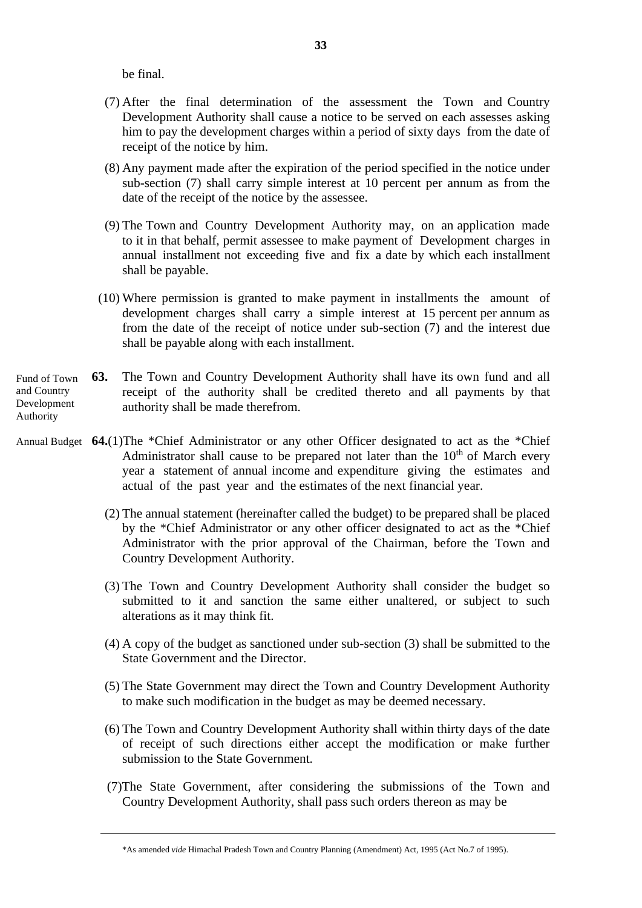be final.

- (7) After the final determination of the assessment the Town and Country Development Authority shall cause a notice to be served on each assesses asking him to pay the development charges within a period of sixty days from the date of receipt of the notice by him.
- (8) Any payment made after the expiration of the period specified in the notice under sub-section (7) shall carry simple interest at 10 percent per annum as from the date of the receipt of the notice by the assessee.
- (9) The Town and Country Development Authority may, on an application made to it in that behalf, permit assessee to make payment of Development charges in annual installment not exceeding five and fix a date by which each installment shall be payable.
- (10) Where permission is granted to make payment in installments the amount of development charges shall carry a simple interest at 15 percent per annum as from the date of the receipt of notice under sub-section (7) and the interest due shall be payable along with each installment.
- **63.** The Town and Country Development Authority shall have its own fund and all receipt of the authority shall be credited thereto and all payments by that authority shall be made therefrom. Fund of Town and Country Development Authority
- Annual Budget **64.**(1)The \*Chief Administrator or any other Officer designated to act as the \*Chief Administrator shall cause to be prepared not later than the  $10<sup>th</sup>$  of March every year a statement of annual income and expenditure giving the estimates and actual of the past year and the estimates of the next financial year.
	- (2) The annual statement (hereinafter called the budget) to be prepared shall be placed by the \*Chief Administrator or any other officer designated to act as the \*Chief Administrator with the prior approval of the Chairman, before the Town and Country Development Authority.
	- (3) The Town and Country Development Authority shall consider the budget so submitted to it and sanction the same either unaltered, or subject to such alterations as it may think fit.
	- (4) A copy of the budget as sanctioned under sub-section (3) shall be submitted to the State Government and the Director.
	- (5) The State Government may direct the Town and Country Development Authority to make such modification in the budget as may be deemed necessary.
	- (6) The Town and Country Development Authority shall within thirty days of the date of receipt of such directions either accept the modification or make further submission to the State Government.
	- (7)The State Government, after considering the submissions of the Town and Country Development Authority, shall pass such orders thereon as may be

<sup>\*</sup>As amended *vide* Himachal Pradesh Town and Country Planning (Amendment) Act, 1995 (Act No.7 of 1995).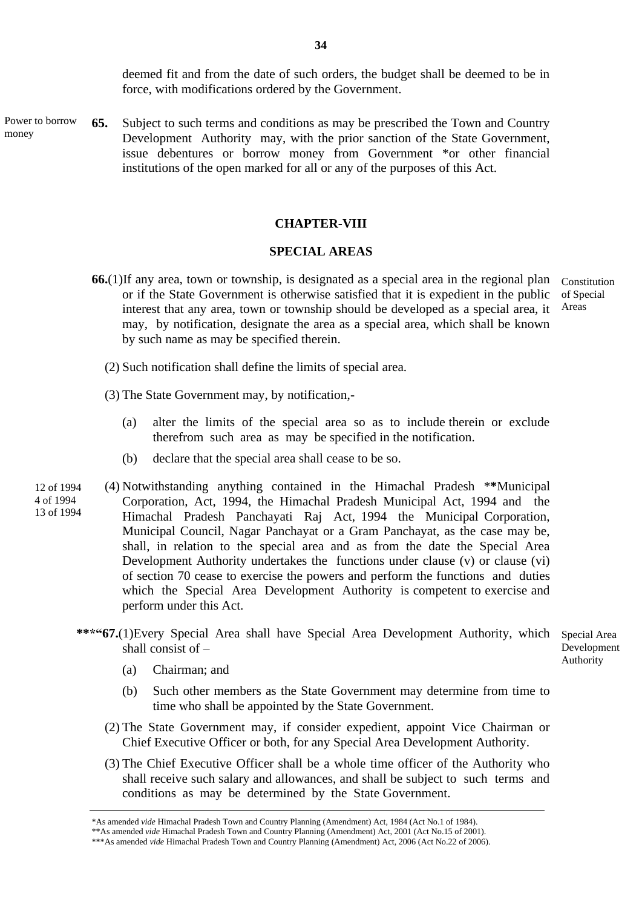deemed fit and from the date of such orders, the budget shall be deemed to be in force, with modifications ordered by the Government.

**65.** Subject to such terms and conditions as may be prescribed the Town and Country Development Authority may, with the prior sanction of the State Government, issue debentures or borrow money from Government \*or other financial institutions of the open marked for all or any of the purposes of this Act. Power to borrow money

#### **CHAPTER-VIII**

#### **SPECIAL AREAS**

- **66.**(1)If any area, town or township, is designated as a special area in the regional plan or if the State Government is otherwise satisfied that it is expedient in the public interest that any area, town or township should be developed as a special area, it may, by notification, designate the area as a special area, which shall be known by such name as may be specified therein. Constitution of Special Areas
	- (2) Such notification shall define the limits of special area.
	- (3) The State Government may, by notification,-
		- (a) alter the limits of the special area so as to include therein or exclude therefrom such area as may be specified in the notification.
		- (b) declare that the special area shall cease to be so.
- (4) Notwithstanding anything contained in the Himachal Pradesh \***\***Municipal Corporation, Act, 1994, the Himachal Pradesh Municipal Act, 1994 and the Himachal Pradesh Panchayati Raj Act, 1994 the Municipal Corporation, Municipal Council, Nagar Panchayat or a Gram Panchayat, as the case may be, shall, in relation to the special area and as from the date the Special Area Development Authority undertakes the functions under clause (v) or clause (vi) of section 70 cease to exercise the powers and perform the functions and duties which the Special Area Development Authority is competent to exercise and perform under this Act. 12 of 1994 4 of 1994 13 of 1994
	- **\*\*\*"67.**(1)Every Special Area shall have Special Area Development Authority, which shall consist of –

Special Area Development Authority

- (a) Chairman; and
- (b) Such other members as the State Government may determine from time to time who shall be appointed by the State Government.
- (2) The State Government may, if consider expedient, appoint Vice Chairman or Chief Executive Officer or both, for any Special Area Development Authority.
- (3) The Chief Executive Officer shall be a whole time officer of the Authority who shall receive such salary and allowances, and shall be subject to such terms and conditions as may be determined by the State Government.

<sup>\*</sup>As amended *vide* Himachal Pradesh Town and Country Planning (Amendment) Act, 1984 (Act No.1 of 1984).

<sup>\*\*</sup>As amended *vide* Himachal Pradesh Town and Country Planning (Amendment) Act, 2001 (Act No.15 of 2001).

<sup>\*\*\*</sup>As amended *vide* Himachal Pradesh Town and Country Planning (Amendment) Act, 2006 (Act No.22 of 2006).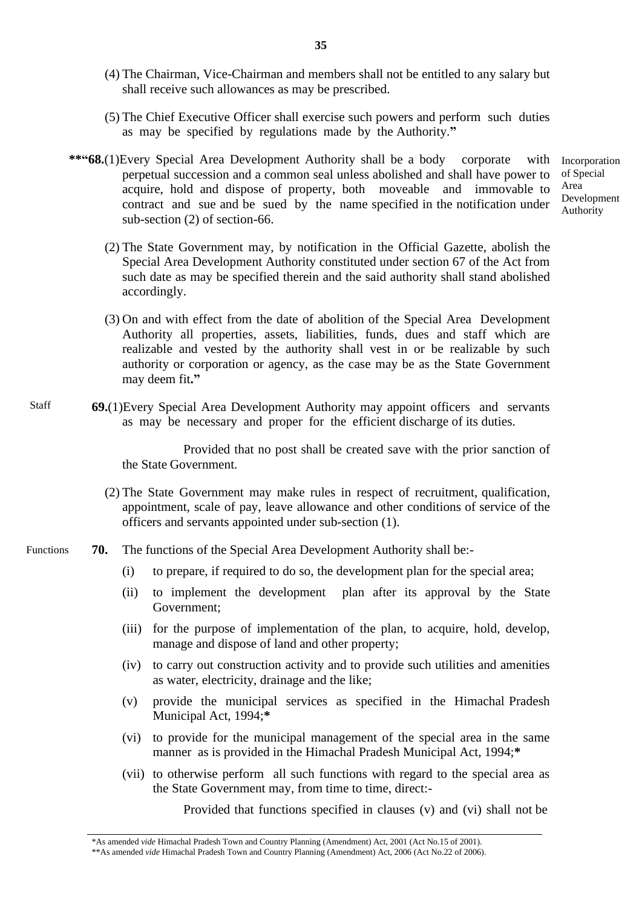- (4) The Chairman, Vice-Chairman and members shall not be entitled to any salary but shall receive such allowances as may be prescribed.
- (5) The Chief Executive Officer shall exercise such powers and perform such duties as may be specified by regulations made by the Authority.**"**
- **\*\*"68.**(1)Every Special Area Development Authority shall be a body corporate with perpetual succession and a common seal unless abolished and shall have power to acquire, hold and dispose of property, both moveable and immovable to contract and sue and be sued by the name specified in the notification under sub-section (2) of section-66.

 (2) The State Government may, by notification in the Official Gazette, abolish the Special Area Development Authority constituted under section 67 of the Act from such date as may be specified therein and the said authority shall stand abolished accordingly.

 (3) On and with effect from the date of abolition of the Special Area Development Authority all properties, assets, liabilities, funds, dues and staff which are realizable and vested by the authority shall vest in or be realizable by such authority or corporation or agency, as the case may be as the State Government may deem fit**."**

**69.**(1)Every Special Area Development Authority may appoint officers and servants as may be necessary and proper for the efficient discharge of its duties. Staff

> Provided that no post shall be created save with the prior sanction of the State Government.

- (2) The State Government may make rules in respect of recruitment, qualification, appointment, scale of pay, leave allowance and other conditions of service of the officers and servants appointed under sub-section (1).
- **70.** The functions of the Special Area Development Authority shall be:- Functions
	- (i) to prepare, if required to do so, the development plan for the special area;
	- (ii) to implement the development plan after its approval by the State Government;
	- (iii) for the purpose of implementation of the plan, to acquire, hold, develop, manage and dispose of land and other property;
	- (iv) to carry out construction activity and to provide such utilities and amenities as water, electricity, drainage and the like;
	- (v) provide the municipal services as specified in the Himachal Pradesh Municipal Act, 1994;**\***
	- (vi) to provide for the municipal management of the special area in the same manner as is provided in the Himachal Pradesh Municipal Act, 1994;**\***
	- (vii) to otherwise perform all such functions with regard to the special area as the State Government may, from time to time, direct:-

Provided that functions specified in clauses (v) and (vi) shall not be

\*As amended *vide* Himachal Pradesh Town and Country Planning (Amendment) Act, 2001 (Act No.15 of 2001).

\*\*As amended *vide* Himachal Pradesh Town and Country Planning (Amendment) Act, 2006 (Act No.22 of 2006).

Incorporation of Special Area Development Authority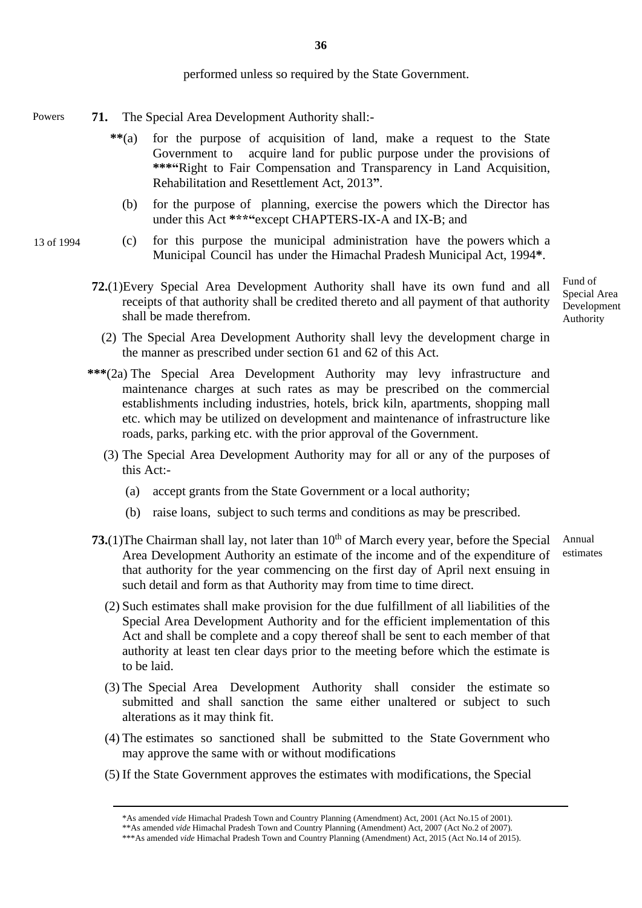performed unless so required by the State Government.

- **71.** The Special Area Development Authority shall:- Powers
	- **\*\***(a) for the purpose of acquisition of land, make a request to the State Government to acquire land for public purpose under the provisions of **\*\*\*"**Right to Fair Compensation and Transparency in Land Acquisition, Rehabilitation and Resettlement Act, 2013**"**.
		- (b) for the purpose of planning, exercise the powers which the Director has under this Act **\*\*\*"**except CHAPTERS-IX-A and IX-B; and
	- (c) for this purpose the municipal administration have the powers which a Municipal Council has under the Himachal Pradesh Municipal Act, 1994**\***.
		- **72.**(1)Every Special Area Development Authority shall have its own fund and all receipts of that authority shall be credited thereto and all payment of that authority shall be made therefrom.

Fund of Special Area Development Authority

- (2) The Special Area Development Authority shall levy the development charge in the manner as prescribed under section 61 and 62 of this Act.
- **\*\*\***(2a) The Special Area Development Authority may levy infrastructure and maintenance charges at such rates as may be prescribed on the commercial establishments including industries, hotels, brick kiln, apartments, shopping mall etc. which may be utilized on development and maintenance of infrastructure like roads, parks, parking etc. with the prior approval of the Government.
	- (3) The Special Area Development Authority may for all or any of the purposes of this Act:-
		- (a) accept grants from the State Government or a local authority;
		- (b) raise loans, subject to such terms and conditions as may be prescribed.
- **73.**(1) The Chairman shall lay, not later than  $10<sup>th</sup>$  of March every year, before the Special Area Development Authority an estimate of the income and of the expenditure of that authority for the year commencing on the first day of April next ensuing in such detail and form as that Authority may from time to time direct. estimates
	- (2) Such estimates shall make provision for the due fulfillment of all liabilities of the Special Area Development Authority and for the efficient implementation of this Act and shall be complete and a copy thereof shall be sent to each member of that authority at least ten clear days prior to the meeting before which the estimate is to be laid.
	- (3) The Special Area Development Authority shall consider the estimate so submitted and shall sanction the same either unaltered or subject to such alterations as it may think fit.
	- (4) The estimates so sanctioned shall be submitted to the State Government who may approve the same with or without modifications
	- (5) If the State Government approves the estimates with modifications, the Special

13 of 1994

Annual

<sup>\*</sup>As amended *vide* Himachal Pradesh Town and Country Planning (Amendment) Act, 2001 (Act No.15 of 2001).

<sup>\*\*</sup>As amended *vide* Himachal Pradesh Town and Country Planning (Amendment) Act, 2007 (Act No.2 of 2007).

<sup>\*\*\*</sup>As amended *vide* Himachal Pradesh Town and Country Planning (Amendment) Act, 2015 (Act No.14 of 2015).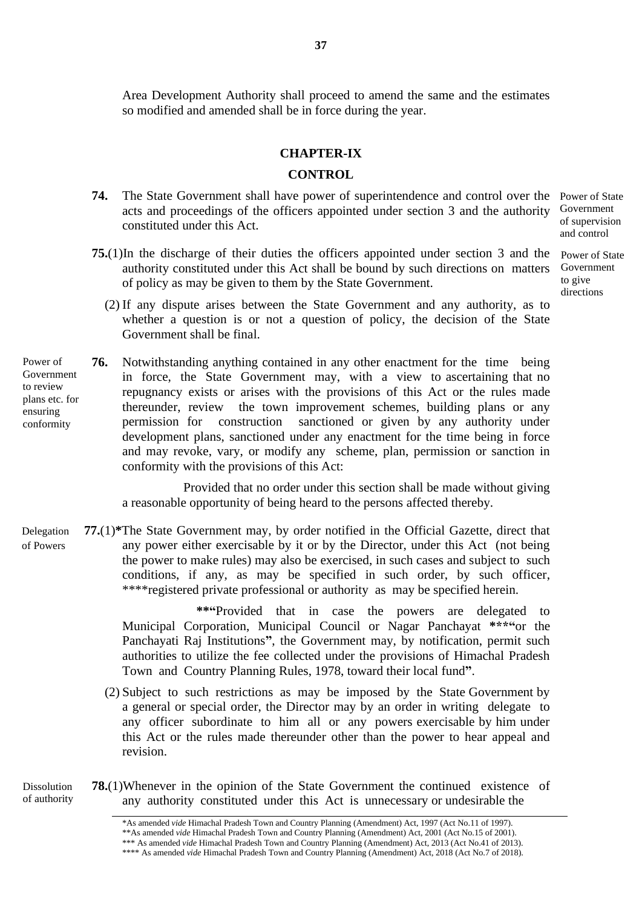Area Development Authority shall proceed to amend the same and the estimates so modified and amended shall be in force during the year.

### **CHAPTER-IX**

#### **CONTROL**

- 74. The State Government shall have power of superintendence and control over the Power of State acts and proceedings of the officers appointed under section 3 and the authority constituted under this Act.
- **75.**(1)In the discharge of their duties the officers appointed under section 3 and the Power of State authority constituted under this Act shall be bound by such directions on matters of policy as may be given to them by the State Government.
	- (2) If any dispute arises between the State Government and any authority, as to whether a question is or not a question of policy, the decision of the State Government shall be final.
- **76.** Notwithstanding anything contained in any other enactment for the time being in force, the State Government may, with a view to ascertaining that no repugnancy exists or arises with the provisions of this Act or the rules made thereunder, review the town improvement schemes, building plans or any permission for construction sanctioned or given by any authority under development plans, sanctioned under any enactment for the time being in force and may revoke, vary, or modify any scheme, plan, permission or sanction in conformity with the provisions of this Act: Power of Government to review plans etc. for ensuring conformity

Provided that no order under this section shall be made without giving a reasonable opportunity of being heard to the persons affected thereby.

**77.**(1)**\***The State Government may, by order notified in the Official Gazette, direct that any power either exercisable by it or by the Director, under this Act (not being the power to make rules) may also be exercised, in such cases and subject to such conditions, if any, as may be specified in such order, by such officer, \*\*\*\*registered private professional or authority as may be specified herein. Delegation of Powers

> **\*\*"**Provided that in case the powers are delegated to Municipal Corporation, Municipal Council or Nagar Panchayat **\*\*\*"**or the Panchayati Raj Institutions**"**, the Government may, by notification, permit such authorities to utilize the fee collected under the provisions of Himachal Pradesh Town and Country Planning Rules, 1978, toward their local fund**"**.

- (2) Subject to such restrictions as may be imposed by the State Government by a general or special order, the Director may by an order in writing delegate to any officer subordinate to him all or any powers exercisable by him under this Act or the rules made thereunder other than the power to hear appeal and revision.
- **78.**(1)Whenever in the opinion of the State Government the continued existence of any authority constituted under this Act is unnecessary or undesirable the

Dissolution of authority Government of supervision and control

Government to give directions

<sup>\*</sup>As amended *vide* Himachal Pradesh Town and Country Planning (Amendment) Act, 1997 (Act No.11 of 1997). \*\*As amended *vide* Himachal Pradesh Town and Country Planning (Amendment) Act, 2001 (Act No.15 of 2001). \*\*\* As amended *vide* Himachal Pradesh Town and Country Planning (Amendment) Act, 2013 (Act No.41 of 2013). \*\*\*\* As amended *vide* Himachal Pradesh Town and Country Planning (Amendment) Act, 2018 (Act No.7 of 2018).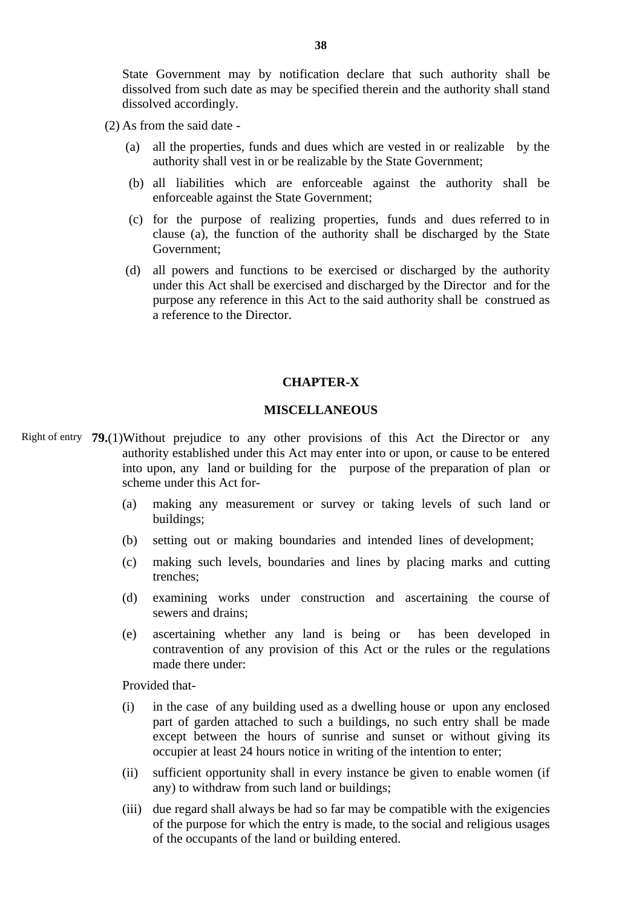State Government may by notification declare that such authority shall be dissolved from such date as may be specified therein and the authority shall stand dissolved accordingly.

- (2) As from the said date
	- (a) all the properties, funds and dues which are vested in or realizable by the authority shall vest in or be realizable by the State Government;
	- (b) all liabilities which are enforceable against the authority shall be enforceable against the State Government;
	- (c) for the purpose of realizing properties, funds and dues referred to in clause (a), the function of the authority shall be discharged by the State Government;
	- (d) all powers and functions to be exercised or discharged by the authority under this Act shall be exercised and discharged by the Director and for the purpose any reference in this Act to the said authority shall be construed as a reference to the Director.

#### **CHAPTER-X**

### **MISCELLANEOUS**

- Right of entry 79.(1)Without prejudice to any other provisions of this Act the Director or any authority established under this Act may enter into or upon, or cause to be entered into upon, any land or building for the purpose of the preparation of plan or scheme under this Act for-
	- (a) making any measurement or survey or taking levels of such land or buildings;
	- (b) setting out or making boundaries and intended lines of development;
	- (c) making such levels, boundaries and lines by placing marks and cutting trenches;
	- (d) examining works under construction and ascertaining the course of sewers and drains;
	- (e) ascertaining whether any land is being or has been developed in contravention of any provision of this Act or the rules or the regulations made there under:

Provided that-

- (i) in the case of any building used as a dwelling house or upon any enclosed part of garden attached to such a buildings, no such entry shall be made except between the hours of sunrise and sunset or without giving its occupier at least 24 hours notice in writing of the intention to enter;
- (ii) sufficient opportunity shall in every instance be given to enable women (if any) to withdraw from such land or buildings;
- (iii) due regard shall always be had so far may be compatible with the exigencies of the purpose for which the entry is made, to the social and religious usages of the occupants of the land or building entered.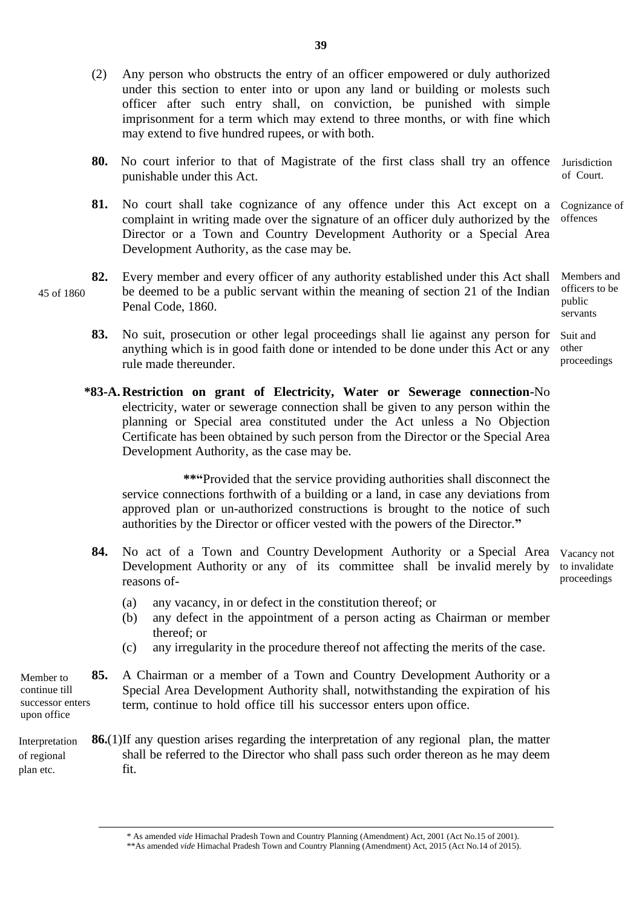- (2) Any person who obstructs the entry of an officer empowered or duly authorized under this section to enter into or upon any land or building or molests such officer after such entry shall, on conviction, be punished with simple imprisonment for a term which may extend to three months, or with fine which may extend to five hundred rupees, or with both.
- **80.** No court inferior to that of Magistrate of the first class shall try an offence punishable under this Act. **Jurisdiction** of Court.
- 81. No court shall take cognizance of any offence under this Act except on a Cognizance of complaint in writing made over the signature of an officer duly authorized by the Director or a Town and Country Development Authority or a Special Area Development Authority, as the case may be. offences
- **82.** Every member and every officer of any authority established under this Act shall be deemed to be a public servant within the meaning of section 21 of the Indian Penal Code, 1860. public 45 of 1860
	- **83.** No suit, prosecution or other legal proceedings shall lie against any person for anything which is in good faith done or intended to be done under this Act or any rule made thereunder. other
	- **\*83-A. Restriction on grant of Electricity, Water or Sewerage connection-**No electricity, water or sewerage connection shall be given to any person within the planning or Special area constituted under the Act unless a No Objection Certificate has been obtained by such person from the Director or the Special Area Development Authority, as the case may be.

**\*\*"**Provided that the service providing authorities shall disconnect the service connections forthwith of a building or a land, in case any deviations from approved plan or un-authorized constructions is brought to the notice of such authorities by the Director or officer vested with the powers of the Director.**"**

84. No act of a Town and Country Development Authority or a Special Area Vacancy not Development Authority or any of its committee shall be invalid merely by reasons of-

to invalidate proceedings

- (a) any vacancy, in or defect in the constitution thereof; or
- (b) any defect in the appointment of a person acting as Chairman or member thereof; or
- (c) any irregularity in the procedure thereof not affecting the merits of the case.

**85.** A Chairman or a member of a Town and Country Development Authority or a Special Area Development Authority shall, notwithstanding the expiration of his term, continue to hold office till his successor enters upon office. Member to continue till successor enters upon office

**86.**(1)If any question arises regarding the interpretation of any regional plan, the matter shall be referred to the Director who shall pass such order thereon as he may deem fit. Interpretation of regional plan etc.

Members and officers to be servants

Suit and proceedings

<sup>\*</sup> As amended *vide* Himachal Pradesh Town and Country Planning (Amendment) Act, 2001 (Act No.15 of 2001).

<sup>\*\*</sup>As amended *vide* Himachal Pradesh Town and Country Planning (Amendment) Act, 2015 (Act No.14 of 2015).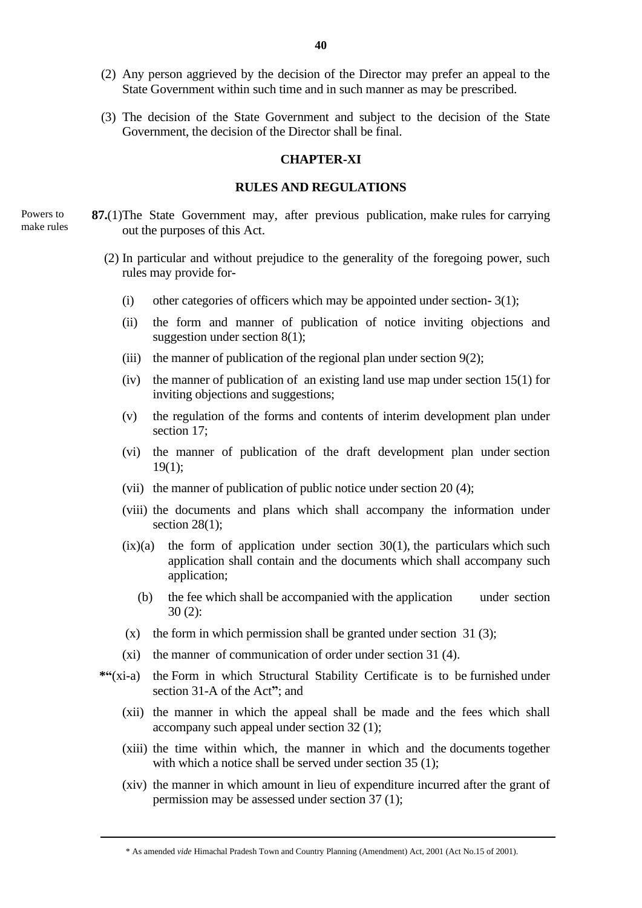- (2) Any person aggrieved by the decision of the Director may prefer an appeal to the State Government within such time and in such manner as may be prescribed.
- (3) The decision of the State Government and subject to the decision of the State Government, the decision of the Director shall be final.

### **CHAPTER-XI**

### **RULES AND REGULATIONS**

- **87.**(1)The State Government may, after previous publication, make rules for carrying out the purposes of this Act.
	- (2) In particular and without prejudice to the generality of the foregoing power, such rules may provide for-
		- (i) other categories of officers which may be appointed under section-  $3(1)$ ;
		- (ii) the form and manner of publication of notice inviting objections and suggestion under section 8(1);
		- (iii) the manner of publication of the regional plan under section  $9(2)$ ;
		- (iv) the manner of publication of an existing land use map under section 15(1) for inviting objections and suggestions;
		- (v) the regulation of the forms and contents of interim development plan under section 17;
		- (vi) the manner of publication of the draft development plan under section 19(1);
		- (vii) the manner of publication of public notice under section 20 (4);
		- (viii) the documents and plans which shall accompany the information under section  $28(1)$ ;
		- $(ix)(a)$  the form of application under section 30(1), the particulars which such application shall contain and the documents which shall accompany such application;
			- (b) the fee which shall be accompanied with the application under section 30 (2):
		- (x) the form in which permission shall be granted under section  $31 (3)$ ;
		- (xi) the manner of communication of order under section 31 (4).
	- **\*"**(xi-a) the Form in which Structural Stability Certificate is to be furnished under section 31-A of the Act**"**; and
		- (xii) the manner in which the appeal shall be made and the fees which shall accompany such appeal under section 32 (1);
		- (xiii) the time within which, the manner in which and the documents together with which a notice shall be served under section 35 (1):
		- (xiv) the manner in which amount in lieu of expenditure incurred after the grant of permission may be assessed under section 37 (1);

Powers to make rules

<sup>\*</sup> As amended *vide* Himachal Pradesh Town and Country Planning (Amendment) Act, 2001 (Act No.15 of 2001).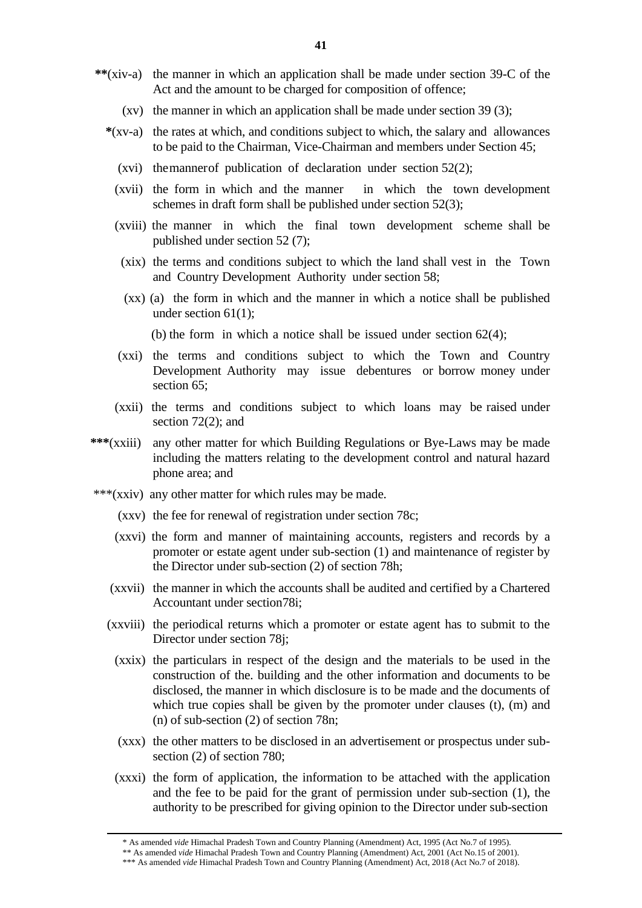- **\*\***(xiv-a) the manner in which an application shall be made under section 39-C of the Act and the amount to be charged for composition of offence;
	- (xv) the manner in which an application shall be made under section 39 (3);
	- **\***(xv-a) the rates at which, and conditions subject to which, the salary and allowances to be paid to the Chairman, Vice-Chairman and members under Section 45;
		- (xvi) themannerof publication of declaration under section 52(2);
		- (xvii) the form in which and the manner in which the town development schemes in draft form shall be published under section 52(3);
		- (xviii) the manner in which the final town development scheme shall be published under section 52 (7);
			- (xix) the terms and conditions subject to which the land shall vest in the Town and Country Development Authority under section 58;
			- (xx) (a) the form in which and the manner in which a notice shall be published under section 61(1);

(b) the form in which a notice shall be issued under section 62(4);

- (xxi) the terms and conditions subject to which the Town and Country Development Authority may issue debentures or borrow money under section 65:
- (xxii) the terms and conditions subject to which loans may be raised under section 72(2); and
- **\*\*\***(xxiii) any other matter for which Building Regulations or Bye-Laws may be made including the matters relating to the development control and natural hazard phone area; and
- \*\*\*(xxiv) any other matter for which rules may be made.
	- (xxv) the fee for renewal of registration under section 78c;
	- (xxvi) the form and manner of maintaining accounts, registers and records by a promoter or estate agent under sub-section (1) and maintenance of register by the Director under sub-section (2) of section 78h;
	- (xxvii) the manner in which the accounts shall be audited and certified by a Chartered Accountant under section78i;
	- (xxviii) the periodical returns which a promoter or estate agent has to submit to the Director under section 78j;
		- (xxix) the particulars in respect of the design and the materials to be used in the construction of the. building and the other information and documents to be disclosed, the manner in which disclosure is to be made and the documents of which true copies shall be given by the promoter under clauses (t), (m) and (n) of sub-section (2) of section 78n;
		- (xxx) the other matters to be disclosed in an advertisement or prospectus under subsection (2) of section 780;
		- (xxxi) the form of application, the information to be attached with the application and the fee to be paid for the grant of permission under sub-section (1), the authority to be prescribed for giving opinion to the Director under sub-section

<sup>\*</sup> As amended *vide* Himachal Pradesh Town and Country Planning (Amendment) Act, 1995 (Act No.7 of 1995).

<sup>\*\*</sup> As amended *vide* Himachal Pradesh Town and Country Planning (Amendment) Act, 2001 (Act No.15 of 2001).

<sup>\*\*\*</sup> As amended *vide* Himachal Pradesh Town and Country Planning (Amendment) Act, 2018 (Act No.7 of 2018).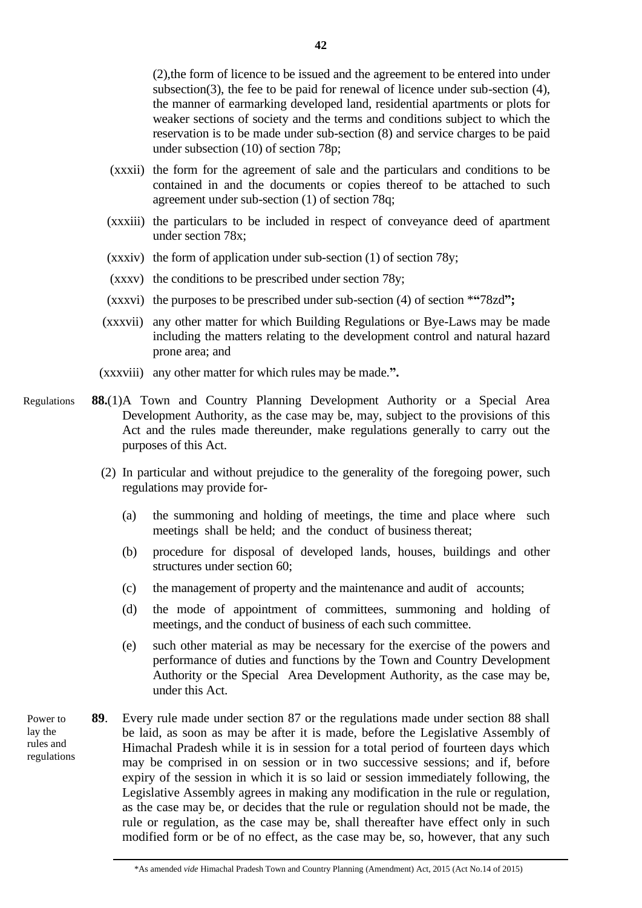(2),the form of licence to be issued and the agreement to be entered into under subsection(3), the fee to be paid for renewal of licence under sub-section (4), the manner of earmarking developed land, residential apartments or plots for weaker sections of society and the terms and conditions subject to which the reservation is to be made under sub-section (8) and service charges to be paid under subsection (10) of section 78p;

- (xxxii) the form for the agreement of sale and the particulars and conditions to be contained in and the documents or copies thereof to be attached to such agreement under sub-section (1) of section 78q;
- (xxxiii) the particulars to be included in respect of conveyance deed of apartment under section 78x;
- (xxxiv) the form of application under sub-section (1) of section 78y;
- (xxxv) the conditions to be prescribed under section 78y;
- (xxxvi) the purposes to be prescribed under sub-section (4) of section \***"**78zd**";**
- (xxxvii) any other matter for which Building Regulations or Bye-Laws may be made including the matters relating to the development control and natural hazard prone area; and
- (xxxviii) any other matter for which rules may be made.**".**
- **88.**(1)A Town and Country Planning Development Authority or a Special Area Development Authority, as the case may be, may, subject to the provisions of this Act and the rules made thereunder, make regulations generally to carry out the purposes of this Act. Regulations
	- (2) In particular and without prejudice to the generality of the foregoing power, such regulations may provide for-
		- (a) the summoning and holding of meetings, the time and place where such meetings shall be held; and the conduct of business thereat;
		- (b) procedure for disposal of developed lands, houses, buildings and other structures under section 60;
		- (c) the management of property and the maintenance and audit of accounts;
		- (d) the mode of appointment of committees, summoning and holding of meetings, and the conduct of business of each such committee.
		- (e) such other material as may be necessary for the exercise of the powers and performance of duties and functions by the Town and Country Development Authority or the Special Area Development Authority, as the case may be, under this Act.
- **89**. Every rule made under section 87 or the regulations made under section 88 shall be laid, as soon as may be after it is made, before the Legislative Assembly of Himachal Pradesh while it is in session for a total period of fourteen days which may be comprised in on session or in two successive sessions; and if, before expiry of the session in which it is so laid or session immediately following, the Legislative Assembly agrees in making any modification in the rule or regulation, as the case may be, or decides that the rule or regulation should not be made, the rule or regulation, as the case may be, shall thereafter have effect only in such modified form or be of no effect, as the case may be, so, however, that any such Power to lay the rules and regulations

<sup>\*</sup>As amended *vide* Himachal Pradesh Town and Country Planning (Amendment) Act, 2015 (Act No.14 of 2015)